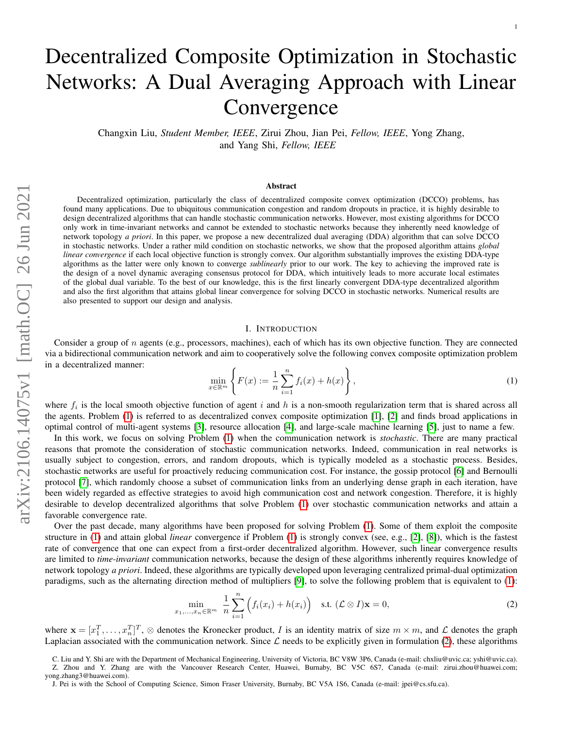# Decentralized Composite Optimization in Stochastic Networks: A Dual Averaging Approach with Linear **Convergence**

Changxin Liu, *Student Member, IEEE*, Zirui Zhou, Jian Pei, *Fellow, IEEE*, Yong Zhang, and Yang Shi, *Fellow, IEEE*

#### **Abstract**

Decentralized optimization, particularly the class of decentralized composite convex optimization (DCCO) problems, has found many applications. Due to ubiquitous communication congestion and random dropouts in practice, it is highly desirable to design decentralized algorithms that can handle stochastic communication networks. However, most existing algorithms for DCCO only work in time-invariant networks and cannot be extended to stochastic networks because they inherently need knowledge of network topology *a priori*. In this paper, we propose a new decentralized dual averaging (DDA) algorithm that can solve DCCO in stochastic networks. Under a rather mild condition on stochastic networks, we show that the proposed algorithm attains *global linear convergence* if each local objective function is strongly convex. Our algorithm substantially improves the existing DDA-type algorithms as the latter were only known to converge *sublinearly* prior to our work. The key to achieving the improved rate is the design of a novel dynamic averaging consensus protocol for DDA, which intuitively leads to more accurate local estimates of the global dual variable. To the best of our knowledge, this is the first linearly convergent DDA-type decentralized algorithm and also the first algorithm that attains global linear convergence for solving DCCO in stochastic networks. Numerical results are also presented to support our design and analysis.

#### I. INTRODUCTION

Consider a group of  $n$  agents (e.g., processors, machines), each of which has its own objective function. They are connected via a bidirectional communication network and aim to cooperatively solve the following convex composite optimization problem in a decentralized manner:

<span id="page-0-0"></span>
$$
\min_{x \in \mathbb{R}^m} \left\{ F(x) := \frac{1}{n} \sum_{i=1}^n f_i(x) + h(x) \right\},\tag{1}
$$

where  $f_i$  is the local smooth objective function of agent i and h is a non-smooth regularization term that is shared across all the agents. Problem [\(1\)](#page-0-0) is referred to as decentralized convex composite optimization [\[1\]](#page-21-0), [\[2\]](#page-21-1) and finds broad applications in optimal control of multi-agent systems [\[3\]](#page-21-2), resource allocation [\[4\]](#page-21-3), and large-scale machine learning [\[5\]](#page-21-4), just to name a few.

In this work, we focus on solving Problem [\(1\)](#page-0-0) when the communication network is *stochastic*. There are many practical reasons that promote the consideration of stochastic communication networks. Indeed, communication in real networks is usually subject to congestion, errors, and random dropouts, which is typically modeled as a stochastic process. Besides, stochastic networks are useful for proactively reducing communication cost. For instance, the gossip protocol [\[6\]](#page-21-5) and Bernoulli protocol [\[7\]](#page-21-6), which randomly choose a subset of communication links from an underlying dense graph in each iteration, have been widely regarded as effective strategies to avoid high communication cost and network congestion. Therefore, it is highly desirable to develop decentralized algorithms that solve Problem [\(1\)](#page-0-0) over stochastic communication networks and attain a favorable convergence rate.

Over the past decade, many algorithms have been proposed for solving Problem [\(1\)](#page-0-0). Some of them exploit the composite structure in [\(1\)](#page-0-0) and attain global *linear* convergence if Problem [\(1\)](#page-0-0) is strongly convex (see, e.g., [\[2\]](#page-21-1), [\[8\]](#page-21-7)), which is the fastest rate of convergence that one can expect from a first-order decentralized algorithm. However, such linear convergence results are limited to *time-invariant* communication networks, because the design of these algorithms inherently requires knowledge of network topology *a priori*. Indeed, these algorithms are typically developed upon leveraging centralized primal-dual optimization paradigms, such as the alternating direction method of multipliers [\[9\]](#page-21-8), to solve the following problem that is equivalent to [\(1\)](#page-0-0):

<span id="page-0-1"></span>
$$
\min_{x_1,\dots,x_n \in \mathbb{R}^m} \frac{1}{n} \sum_{i=1}^n \left( f_i(x_i) + h(x_i) \right) \quad \text{s.t. } (\mathcal{L} \otimes I)\mathbf{x} = 0,
$$
\n(2)

where  $\mathbf{x} = [x_1^T, \dots, x_n^T]^T$ ,  $\otimes$  denotes the Kronecker product, I is an identity matrix of size  $m \times m$ , and L denotes the graph Laplacian associated with the communication network. Since  $\mathcal L$  needs to be explicitly given in formulation [\(2\)](#page-0-1), these algorithms

C. Liu and Y. Shi are with the Department of Mechanical Engineering, University of Victoria, BC V8W 3P6, Canada (e-mail: chxliu@uvic.ca; yshi@uvic.ca).

Z. Zhou and Y. Zhang are with the Vancouver Research Center, Huawei, Burnaby, BC V5C 6S7, Canada (e-mail: zirui.zhou@huawei.com; yong.zhang3@huawei.com).

J. Pei is with the School of Computing Science, Simon Fraser University, Burnaby, BC V5A 1S6, Canada (e-mail: jpei@cs.sfu.ca).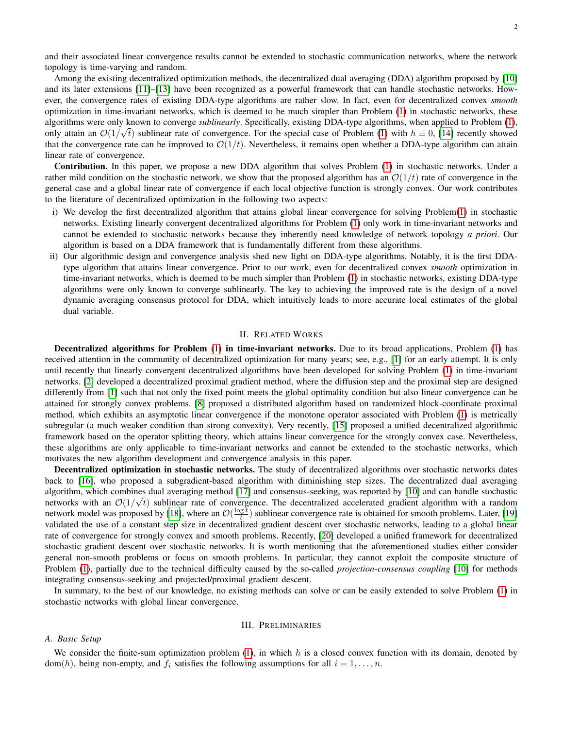and their associated linear convergence results cannot be extended to stochastic communication networks, where the network topology is time-varying and random.

Among the existing decentralized optimization methods, the decentralized dual averaging (DDA) algorithm proposed by [\[10\]](#page-21-9) and its later extensions [\[11\]](#page-21-10)–[\[13\]](#page-21-11) have been recognized as a powerful framework that can handle stochastic networks. However, the convergence rates of existing DDA-type algorithms are rather slow. In fact, even for decentralized convex *smooth* optimization in time-invariant networks, which is deemed to be much simpler than Problem [\(1\)](#page-0-0) in stochastic networks, these algorithms were only known to converge *sublinearly*. Specifically, existing DDA-type algorithms, when applied to Problem [\(1\)](#page-0-0), only attain an  $\mathcal{O}(1/\sqrt{t})$  sublinear rate of convergence. For the special case of Problem [\(1\)](#page-0-0) with  $h \equiv 0$ , [\[14\]](#page-21-12) recently showed that the convergence rate can be improved to  $\mathcal{O}(1/t)$ . Nevertheless, it remains open whether a DDA-type algorithm can attain linear rate of convergence.

Contribution. In this paper, we propose a new DDA algorithm that solves Problem [\(1\)](#page-0-0) in stochastic networks. Under a rather mild condition on the stochastic network, we show that the proposed algorithm has an  $\mathcal{O}(1/t)$  rate of convergence in the general case and a global linear rate of convergence if each local objective function is strongly convex. Our work contributes to the literature of decentralized optimization in the following two aspects:

- i) We develop the first decentralized algorithm that attains global linear convergence for solving Problem[\(1\)](#page-0-0) in stochastic networks. Existing linearly convergent decentralized algorithms for Problem [\(1\)](#page-0-0) only work in time-invariant networks and cannot be extended to stochastic networks because they inherently need knowledge of network topology *a priori*. Our algorithm is based on a DDA framework that is fundamentally different from these algorithms.
- ii) Our algorithmic design and convergence analysis shed new light on DDA-type algorithms. Notably, it is the first DDAtype algorithm that attains linear convergence. Prior to our work, even for decentralized convex *smooth* optimization in time-invariant networks, which is deemed to be much simpler than Problem [\(1\)](#page-0-0) in stochastic networks, existing DDA-type algorithms were only known to converge sublinearly. The key to achieving the improved rate is the design of a novel dynamic averaging consensus protocol for DDA, which intuitively leads to more accurate local estimates of the global dual variable.

#### II. RELATED WORKS

Decentralized algorithms for Problem [\(1\)](#page-0-0) in time-invariant networks. Due to its broad applications, Problem [\(1\)](#page-0-0) has received attention in the community of decentralized optimization for many years; see, e.g., [\[1\]](#page-21-0) for an early attempt. It is only until recently that linearly convergent decentralized algorithms have been developed for solving Problem [\(1\)](#page-0-0) in time-invariant networks. [\[2\]](#page-21-1) developed a decentralized proximal gradient method, where the diffusion step and the proximal step are designed differently from [\[1\]](#page-21-0) such that not only the fixed point meets the global optimality condition but also linear convergence can be attained for strongly convex problems. [\[8\]](#page-21-7) proposed a distributed algorithm based on randomized block-coordinate proximal method, which exhibits an asymptotic linear convergence if the monotone operator associated with Problem [\(1\)](#page-0-0) is metrically subregular (a much weaker condition than strong convexity). Very recently, [\[15\]](#page-21-13) proposed a unified decentralized algorithmic framework based on the operator splitting theory, which attains linear convergence for the strongly convex case. Nevertheless, these algorithms are only applicable to time-invariant networks and cannot be extended to the stochastic networks, which motivates the new algorithm development and convergence analysis in this paper.

Decentralized optimization in stochastic networks. The study of decentralized algorithms over stochastic networks dates back to [\[16\]](#page-21-14), who proposed a subgradient-based algorithm with diminishing step sizes. The decentralized dual averaging algorithm, which combines dual averaging method [\[17\]](#page-21-15) and consensus-seeking, was reported by [\[10\]](#page-21-9) and can handle stochastic networks with an  $\mathcal{O}(1/\sqrt{t})$  sublinear rate of convergence. The decentralized accelerated gradient algorithm with a random network model was proposed by [\[18\]](#page-21-16), where an  $\mathcal{O}(\frac{\log t}{t})$  sublinear convergence rate is obtained for smooth problems. Later, [\[19\]](#page-21-17) validated the use of a constant step size in decentralized gradient descent over stochastic networks, leading to a global linear rate of convergence for strongly convex and smooth problems. Recently, [\[20\]](#page-21-18) developed a unified framework for decentralized stochastic gradient descent over stochastic networks. It is worth mentioning that the aforementioned studies either consider general non-smooth problems or focus on smooth problems. In particular, they cannot exploit the composite structure of Problem [\(1\)](#page-0-0), partially due to the technical difficulty caused by the so-called *projection-consensus coupling* [\[10\]](#page-21-9) for methods integrating consensus-seeking and projected/proximal gradient descent.

In summary, to the best of our knowledge, no existing methods can solve or can be easily extended to solve Problem [\(1\)](#page-0-0) in stochastic networks with global linear convergence.

#### III. PRELIMINARIES

#### *A. Basic Setup*

We consider the finite-sum optimization problem  $(1)$ , in which h is a closed convex function with its domain, denoted by dom(h), being non-empty, and  $f_i$  satisfies the following assumptions for all  $i = 1, \ldots, n$ .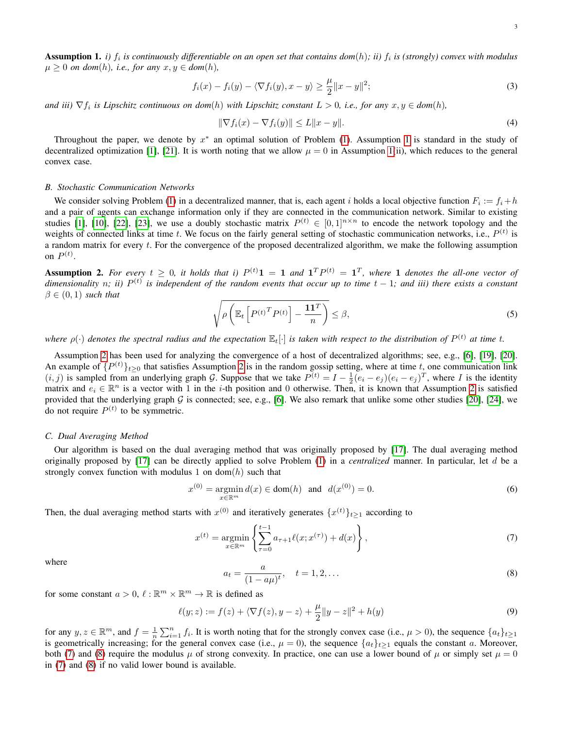<span id="page-2-0"></span>**Assumption 1.** *i)*  $f_i$  is continuously differentiable on an open set that contains dom(h); ii)  $f_i$  is (strongly) convex with modulus  $\mu > 0$  *on dom*(h), *i.e., for any*  $x, y \in dom(h)$ ,

<span id="page-2-6"></span>
$$
f_i(x) - f_i(y) - \langle \nabla f_i(y), x - y \rangle \ge \frac{\mu}{2} \|x - y\|^2; \tag{3}
$$

*and iii*)  $\nabla f_i$  *is Lipschitz continuous on dom*(*h*) *with Lipschitz constant*  $L > 0$ *, i.e., for any*  $x, y \in dom(h)$ *,* 

<span id="page-2-7"></span>
$$
\|\nabla f_i(x) - \nabla f_i(y)\| \le L\|x - y\|.\tag{4}
$$

Throughout the paper, we denote by  $x^*$  an optimal solution of Problem [\(1\)](#page-0-0). Assumption [1](#page-2-0) is standard in the study of decentralized optimization [\[1\]](#page-21-0), [\[21\]](#page-21-19). It is worth noting that we allow  $\mu = 0$  in Assumption [1\(](#page-2-0)ii), which reduces to the general convex case.

#### *B. Stochastic Communication Networks*

We consider solving Problem [\(1\)](#page-0-0) in a decentralized manner, that is, each agent i holds a local objective function  $F_i := f_i + h$ and a pair of agents can exchange information only if they are connected in the communication network. Similar to existing studies [\[1\]](#page-21-0), [\[10\]](#page-21-9), [\[22\]](#page-21-20), [\[23\]](#page-21-21), we use a doubly stochastic matrix  $P^{(t)} \in [0,1]^{n \times n}$  to encode the network topology and the weights of connected links at time t. We focus on the fairly general setting of stochastic communication networks, i.e.,  $P^{(t)}$  is a random matrix for every t. For the convergence of the proposed decentralized algorithm, we make the following assumption on  $P^{(t)}$ .

<span id="page-2-1"></span>**Assumption 2.** For every  $t \geq 0$ , it holds that i)  $P^{(t)}\mathbf{1} = \mathbf{1}$  and  $\mathbf{1}^T P^{(t)} = \mathbf{1}^T$ , where 1 denotes the all-one vector of dimensionality n; ii)  $P^{(t)}$  is independent of the random events that occur up to time  $t-1$ ; and iii) there exists a constant  $\beta \in (0,1)$  *such that* 

<span id="page-2-5"></span>
$$
\sqrt{\rho\left(\mathbb{E}_t\left[P^{(t)^T}P^{(t)}\right]-\frac{\mathbf{1}\mathbf{1}^T}{n}\right)} \leq \beta,\tag{5}
$$

where  $\rho(\cdot)$  denotes the spectral radius and the expectation  $\mathbb{E}_t[\cdot]$  is taken with respect to the distribution of  $P^{(t)}$  at time t.

Assumption [2](#page-2-1) has been used for analyzing the convergence of a host of decentralized algorithms; see, e.g., [\[6\]](#page-21-5), [\[19\]](#page-21-17), [\[20\]](#page-21-18). An example of  $\{P^{(t)}\}_{t\geq0}$  that satisfies Assumption [2](#page-2-1) is in the random gossip setting, where at time t, one communication link  $(i, j)$  is sampled from an underlying graph G. Suppose that we take  $P^{(t)} = I - \frac{1}{2}(e_i - e_j)(e_i - e_j)^T$ , where I is the identity matrix and  $e_i \in \mathbb{R}^n$  is a vector with 1 in the *i*-th position and 0 otherwise. Then, it is known that Assumption [2](#page-2-1) is satisfied provided that the underlying graph  $G$  is connected; see, e.g., [\[6\]](#page-21-5). We also remark that unlike some other studies [\[20\]](#page-21-18), [\[24\]](#page-21-22), we do not require  $P^{(t)}$  to be symmetric.

#### *C. Dual Averaging Method*

Our algorithm is based on the dual averaging method that was originally proposed by [\[17\]](#page-21-15). The dual averaging method originally proposed by [\[17\]](#page-21-15) can be directly applied to solve Problem [\(1\)](#page-0-0) in a *centralized* manner. In particular, let d be a strongly convex function with modulus 1 on dom( $h$ ) such that

<span id="page-2-4"></span>
$$
x^{(0)} = \underset{x \in \mathbb{R}^m}{\text{argmin}} \, d(x) \in \text{dom}(h) \quad \text{and} \quad d(x^{(0)}) = 0. \tag{6}
$$

Then, the dual averaging method starts with  $x^{(0)}$  and iteratively generates  $\{x^{(t)}\}_{t\geq 1}$  according to

<span id="page-2-2"></span>
$$
x^{(t)} = \underset{x \in \mathbb{R}^m}{\text{argmin}} \left\{ \sum_{\tau=0}^{t-1} a_{\tau+1} \ell(x; x^{(\tau)}) + d(x) \right\},\tag{7}
$$

where

<span id="page-2-3"></span>
$$
a_t = \frac{a}{(1 - a\mu)^t}, \quad t = 1, 2, \dots
$$
 (8)

for some constant  $a > 0$ ,  $\ell : \mathbb{R}^m \times \mathbb{R}^m \to \mathbb{R}$  is defined as

<span id="page-2-8"></span>
$$
\ell(y; z) := f(z) + \langle \nabla f(z), y - z \rangle + \frac{\mu}{2} \|y - z\|^2 + h(y)
$$
\n(9)

for any  $y, z \in \mathbb{R}^m$ , and  $f = \frac{1}{n} \sum_{i=1}^n f_i$ . It is worth noting that for the strongly convex case (i.e.,  $\mu > 0$ ), the sequence  $\{a_t\}_{t \geq 1}$ is geometrically increasing; for the general convex case (i.e.,  $\mu = 0$ ), the sequence  $\{a_t\}_{t>1}$  equals the constant a. Moreover, both [\(7\)](#page-2-2) and [\(8\)](#page-2-3) require the modulus  $\mu$  of strong convexity. In practice, one can use a lower bound of  $\mu$  or simply set  $\mu = 0$ in [\(7\)](#page-2-2) and [\(8\)](#page-2-3) if no valid lower bound is available.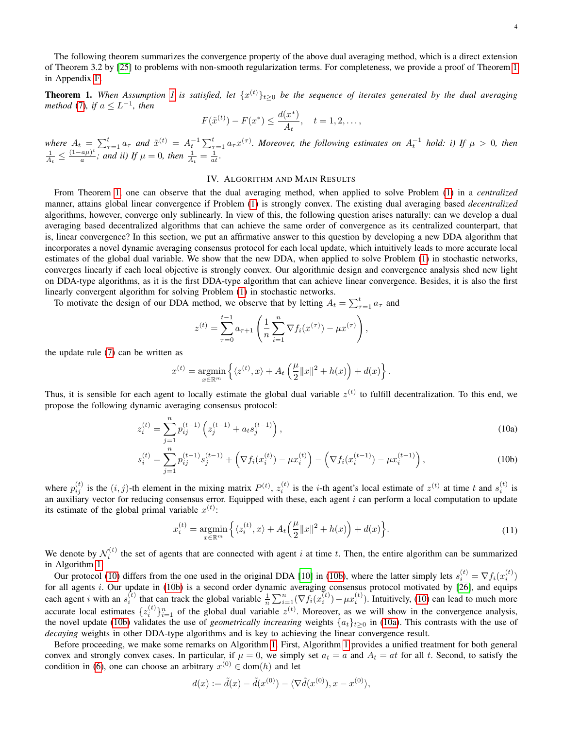<span id="page-3-0"></span>**Theorem [1](#page-2-0).** When Assumption 1 is satisfied, let  $\{x^{(t)}\}_{t\geq0}$  be the sequence of iterates generated by the dual averaging *method* [\(7\)](#page-2-2), if  $a \leq L^{-1}$ , then

$$
F(\tilde{x}^{(t)}) - F(x^*) \le \frac{d(x^*)}{A_t}, \quad t = 1, 2, \dots,
$$

*where*  $A_t = \sum_{\tau=1}^t a_{\tau}$  and  $\tilde{x}^{(t)} = A_t^{-1} \sum_{\tau=1}^t a_{\tau} x^{(\tau)}$ . Moreover, the following estimates on  $A_t^{-1}$  hold: i) If  $\mu > 0$ , then  $\frac{1}{A_t} \leq \frac{(1-a\mu)^t}{a}$ ; and ii) If  $\mu = 0$ , then  $\frac{1}{A_t} = \frac{1}{at}$ .  $\frac{a\mu)^c}{a}$ ; and ii) If  $\mu = 0$ , then  $\frac{1}{A_t} = \frac{1}{at}$ .

#### IV. ALGORITHM AND MAIN RESULTS

From Theorem [1,](#page-3-0) one can observe that the dual averaging method, when applied to solve Problem [\(1\)](#page-0-0) in a *centralized* manner, attains global linear convergence if Problem [\(1\)](#page-0-0) is strongly convex. The existing dual averaging based *decentralized* algorithms, however, converge only sublinearly. In view of this, the following question arises naturally: can we develop a dual averaging based decentralized algorithms that can achieve the same order of convergence as its centralized counterpart, that is, linear convergence? In this section, we put an affirmative answer to this question by developing a new DDA algorithm that incorporates a novel dynamic averaging consensus protocol for each local update, which intuitively leads to more accurate local estimates of the global dual variable. We show that the new DDA, when applied to solve Problem [\(1\)](#page-0-0) in stochastic networks, converges linearly if each local objective is strongly convex. Our algorithmic design and convergence analysis shed new light on DDA-type algorithms, as it is the first DDA-type algorithm that can achieve linear convergence. Besides, it is also the first linearly convergent algorithm for solving Problem [\(1\)](#page-0-0) in stochastic networks.

To motivate the design of our DDA method, we observe that by letting  $A_t = \sum_{\tau=1}^t a_{\tau}$  and

<span id="page-3-3"></span><span id="page-3-2"></span>
$$
z^{(t)} = \sum_{\tau=0}^{t-1} a_{\tau+1} \left( \frac{1}{n} \sum_{i=1}^n \nabla f_i(x^{(\tau)}) - \mu x^{(\tau)} \right),
$$

the update rule [\(7\)](#page-2-2) can be written as

<span id="page-3-1"></span>
$$
x^{(t)} = \underset{x \in \mathbb{R}^m}{\text{argmin}} \left\{ \langle z^{(t)}, x \rangle + A_t \left( \frac{\mu}{2} ||x||^2 + h(x) \right) + d(x) \right\}.
$$

Thus, it is sensible for each agent to locally estimate the global dual variable  $z^{(t)}$  to fulfill decentralization. To this end, we propose the following dynamic averaging consensus protocol:

$$
z_i^{(t)} = \sum_{j=1}^n p_{ij}^{(t-1)} \left( z_j^{(t-1)} + a_t s_j^{(t-1)} \right),\tag{10a}
$$

$$
s_i^{(t)} = \sum_{j=1}^n p_{ij}^{(t-1)} s_j^{(t-1)} + \left(\nabla f_i(x_i^{(t)}) - \mu x_i^{(t)}\right) - \left(\nabla f_i(x_i^{(t-1)}) - \mu x_i^{(t-1)}\right),\tag{10b}
$$

where  $p_{ij}^{(t)}$  is the  $(i, j)$ -th element in the mixing matrix  $P^{(t)}$ ,  $z_i^{(t)}$  is the *i*-th agent's local estimate of  $z^{(t)}$  at time t and  $s_i^{(t)}$  is an auxiliary vector for reducing consensus error. Equipped with these, each agent  $i$  can perform a local computation to update its estimate of the global primal variable  $x^{(t)}$ :

$$
x_i^{(t)} = \underset{x \in \mathbb{R}^m}{\text{argmin}} \left\{ \langle z_i^{(t)}, x \rangle + A_t \left( \frac{\mu}{2} ||x||^2 + h(x) \right) + d(x) \right\}.
$$
 (11)

<span id="page-3-4"></span>We denote by  $\mathcal{N}_i^{(t)}$  the set of agents that are connected with agent i at time t. Then, the entire algorithm can be summarized in Algorithm [1.](#page-4-0)

Our protocol [\(10\)](#page-3-1) differs from the one used in the original DDA [\[10\]](#page-21-9) in [\(10b\)](#page-3-2), where the latter simply lets  $s_i^{(t)} = \nabla f_i(x_i^{(t)})$ for all agents  $i$ . Our update in [\(10b\)](#page-3-2) is a second order dynamic averaging consensus protocol motivated by [\[26\]](#page-21-24), and equips each agent *i* with an  $s_i^{(t)}$  that can track the global variable  $\frac{1}{n} \sum_{i=1}^n (\nabla f_i(x_i^{(t)}) - \mu x_i^{(t)})$ . Intuitively, [\(10\)](#page-3-1) can lead to much more accurate local estimates  $\{z_i^{(t)}\}_{i=1}^n$  of the global dual variable  $z^{(t)}$ . Moreover, as we will show in the convergence analysis, the novel update [\(10b\)](#page-3-2) validates the use of *geometrically increasing* weights  $\{a_t\}_{t\geq 0}$  in [\(10a\)](#page-3-3). This contrasts with the use of *decaying* weights in other DDA-type algorithms and is key to achieving the linear convergence result.

Before proceeding, we make some remarks on Algorithm [1.](#page-4-0) First, Algorithm [1](#page-4-0) provides a unified treatment for both general convex and strongly convex cases. In particular, if  $\mu = 0$ , we simply set  $a_t = a$  and  $A_t = at$  for all t. Second, to satisfy the condition in [\(6\)](#page-2-4), one can choose an arbitrary  $x^{(0)} \in \text{dom}(h)$  and let

$$
d(x) := \tilde{d}(x) - \tilde{d}(x^{(0)}) - \langle \nabla \tilde{d}(x^{(0)}), x - x^{(0)} \rangle,
$$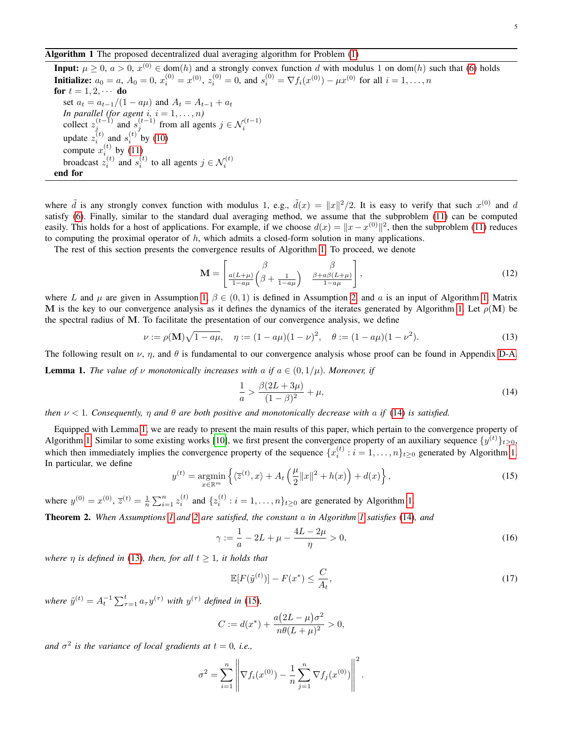#### <span id="page-4-0"></span>Algorithm 1 The proposed decentralized dual averaging algorithm for Problem [\(1\)](#page-0-0)

**Input:**  $\mu \ge 0$ ,  $a > 0$ ,  $x^{(0)} \in \text{dom}(h)$  and a strongly convex function d with modulus 1 on dom(h) such that [\(6\)](#page-2-4) holds **Initialize:**  $a_0 = a$ ,  $A_0 = 0$ ,  $x_i^{(0)} = x^{(0)}$ ,  $z_i^{(0)} = 0$ , and  $s_i^{(0)} = \nabla f_i(x^{(0)}) - \mu x^{(0)}$  for all  $i = 1, ..., n$ for  $t = 1, 2, \cdots$  do set  $a_t = a_{t-1}/(1 - a\mu)$  and  $A_t = A_{t-1} + a_t$ *In parallel (for agent i, i* =  $1, \ldots, n$ ) collect  $z_j^{(t-1)}$  and  $s_j^{(t-1)}$  from all agents  $j \in \mathcal{N}_i^{(t-1)}$ update  $z_i^{(t)}$  and  $s_i^{(t)}$  by [\(10\)](#page-3-1) compute  $x_i^{(t)}$  by [\(11\)](#page-3-4) broadcast  $z_i^{(t)}$  and  $s_i^{(t)}$  to all agents  $j \in \mathcal{N}_i^{(t)}$ end for

where  $\tilde{d}$  is any strongly convex function with modulus 1, e.g.,  $\tilde{d}(x) = ||x||^2/2$ . It is easy to verify that such  $x^{(0)}$  and d satisfy [\(6\)](#page-2-4). Finally, similar to the standard dual averaging method, we assume that the subproblem [\(11\)](#page-3-4) can be computed easily. This holds for a host of applications. For example, if we choose  $d(x) = ||x - x^{(0)}||^2$ , then the subproblem [\(11\)](#page-3-4) reduces to computing the proximal operator of  $h$ , which admits a closed-form solution in many applications.

The rest of this section presents the convergence results of Algorithm [1.](#page-4-0) To proceed, we denote

<span id="page-4-8"></span>
$$
\mathbf{M} = \begin{bmatrix} \beta & \beta \\ \frac{a(L+\mu)}{1-a\mu} \left(\beta + \frac{1}{1-a\mu}\right) & \frac{\beta + a\beta(L+\mu)}{1-a\mu} \end{bmatrix},
$$
(12)

where L and  $\mu$  are given in Assumption [1,](#page-2-0)  $\beta \in (0,1)$  is defined in Assumption [2,](#page-2-1) and a is an input of Algorithm [1.](#page-4-0) Matrix M is the key to our convergence analysis as it defines the dynamics of the iterates generated by Algorithm [1.](#page-4-0) Let  $\rho(M)$  be the spectral radius of M. To facilitate the presentation of our convergence analysis, we define

<span id="page-4-3"></span>
$$
\nu := \rho(\mathbf{M})\sqrt{1 - a\mu}, \quad \eta := (1 - a\mu)(1 - \nu)^2, \quad \theta := (1 - a\mu)(1 - \nu^2). \tag{13}
$$

The following result on  $\nu$ ,  $\eta$ , and  $\theta$  is fundamental to our convergence analysis whose proof can be found in Appendix [D-A.](#page-13-0)

<span id="page-4-2"></span>**Lemma 1.** *The value of v monotonically increases with a if*  $a \in (0, 1/\mu)$ *. Moreover, if* 

<span id="page-4-1"></span>
$$
\frac{1}{a} > \frac{\beta(2L + 3\mu)}{(1 - \beta)^2} + \mu,\tag{14}
$$

*then* ν < 1*. Consequently,* η *and* θ *are both positive and monotonically decrease with* a *if* [\(14\)](#page-4-1) *is satisfied.*

Equipped with Lemma [1,](#page-4-2) we are ready to present the main results of this paper, which pertain to the convergence property of Algorithm [1.](#page-4-0) Similar to some existing works [\[10\]](#page-21-9), we first present the convergence property of an auxiliary sequence  $\{y^{(t)}\}_{t\geq0}$ , which then immediately implies the convergence property of the sequence  $\{x_i^{(t)} : i = 1, \ldots, n\}_{t \geq 0}$  generated by Algorithm [1.](#page-4-0) In particular, we define

<span id="page-4-4"></span>
$$
y^{(t)} = \underset{x \in \mathbb{R}^m}{\operatorname{argmin}} \left\{ \langle \overline{z}^{(t)}, x \rangle + A_t \left( \frac{\mu}{2} ||x||^2 + h(x) \right) + d(x) \right\},\tag{15}
$$

where  $y^{(0)} = x^{(0)}$ ,  $\overline{z}^{(t)} = \frac{1}{n} \sum_{i=1}^{n} z_i^{(t)}$  and  $\{z_i^{(t)} : i = 1, ..., n\}_{t \ge 0}$  are generated by Algorithm [1.](#page-4-0)

<span id="page-4-5"></span>Theorem 2. *When Assumptions [1](#page-2-0) and [2](#page-2-1) are satisfied, the constant* a *in Algorithm [1](#page-4-0) satisfies* [\(14\)](#page-4-1)*, and*

$$
\gamma := \frac{1}{a} - 2L + \mu - \frac{4L - 2\mu}{\eta} > 0,\tag{16}
$$

<span id="page-4-7"></span>*where*  $\eta$  *is defined in* [\(13\)](#page-4-3)*, then, for all*  $t \geq 1$ *, it holds that* 

<span id="page-4-6"></span>
$$
\mathbb{E}[F(\tilde{y}^{(t)})] - F(x^*) \le \frac{C}{A_t},\tag{17}
$$

*where*  $\tilde{y}^{(t)} = A_t^{-1} \sum_{\tau=1}^t a_{\tau} y^{(\tau)}$  *with*  $y^{(\tau)}$  *defined in* [\(15\)](#page-4-4)*,* 

$$
C := d(x^*) + \frac{a(2L - \mu)\sigma^2}{n\theta(L + \mu)^2} > 0,
$$

*and*  $\sigma^2$  *is the variance of local gradients at*  $t = 0$ *, i.e.,* 

$$
\sigma^{2} = \sum_{i=1}^{n} \left\| \nabla f_{i}(x^{(0)}) - \frac{1}{n} \sum_{j=1}^{n} \nabla f_{j}(x^{(0)}) \right\|^{2}.
$$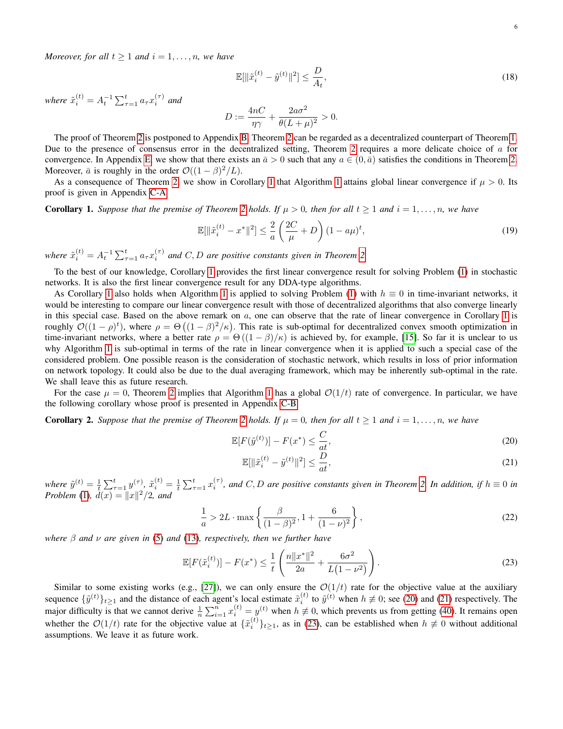*Moreover, for all*  $t \geq 1$  *and*  $i = 1, \ldots, n$ *, we have* 

<span id="page-5-5"></span>
$$
\mathbb{E}[\|\tilde{x}_i^{(t)} - \tilde{y}^{(t)}\|^2] \le \frac{D}{A_t},\tag{18}
$$

*where*  $\tilde{x}_i^{(t)} = A_t^{-1} \sum_{\tau=1}^t a_\tau x_i^{(\tau)}$  and

$$
D := \frac{4nC}{\eta\gamma} + \frac{2a\sigma^2}{\theta(L+\mu)^2} > 0.
$$

The proof of Theorem [2](#page-4-5) is postponed to Appendix [B.](#page-10-0) Theorem [2](#page-4-5) can be regarded as a decentralized counterpart of Theorem [1.](#page-3-0) Due to the presence of consensus error in the decentralized setting, Theorem [2](#page-4-5) requires a more delicate choice of  $\alpha$  for convergence. In Appendix [E,](#page-18-0) we show that there exists an  $\bar{a} > 0$  such that any  $a \in (0, \bar{a})$  satisfies the conditions in Theorem [2.](#page-4-5) Moreover,  $\bar{a}$  is roughly in the order  $\mathcal{O}((1 - \beta)^2/L)$ .

As a consequence of Theorem [2,](#page-4-5) we show in Corollary [1](#page-4-0) that Algorithm 1 attains global linear convergence if  $\mu > 0$ . Its proof is given in Appendix [C-A.](#page-12-0)

<span id="page-5-0"></span>**Corollary 1.** Suppose that the premise of Theorem [2](#page-4-5) holds. If  $\mu > 0$ , then for all  $t \ge 1$  and  $i = 1, \ldots, n$ , we have

<span id="page-5-6"></span>
$$
\mathbb{E}[\|\tilde{x}_i^{(t)} - x^*\|^2] \le \frac{2}{a} \left(\frac{2C}{\mu} + D\right) (1 - a\mu)^t,\tag{19}
$$

where  $\tilde{x}_i^{(t)} = A_t^{-1} \sum_{\tau=1}^t a_\tau x_i^{(\tau)}$  and  $C, D$  are positive constants given in Theorem [2.](#page-4-5)

To the best of our knowledge, Corollary [1](#page-5-0) provides the first linear convergence result for solving Problem [\(1\)](#page-0-0) in stochastic networks. It is also the first linear convergence result for any DDA-type algorithms.

As Corollary [1](#page-4-0) also holds when Algorithm 1 is applied to solving Problem [\(1\)](#page-0-0) with  $h \equiv 0$  in time-invariant networks, it would be interesting to compare our linear convergence result with those of decentralized algorithms that also converge linearly in this special case. Based on the above remark on  $a$ , one can observe that the rate of linear convergence in Corollary [1](#page-5-0) is roughly  $\mathcal{O}((1-\rho)^t)$ , where  $\rho = \Theta((1-\beta)^2/\kappa)$ . This rate is sub-optimal for decentralized convex smooth optimization in time-invariant networks, where a better rate  $\rho = \Theta((1 - \beta)/\kappa)$  is achieved by, for example, [\[15\]](#page-21-13). So far it is unclear to us why Algorithm [1](#page-4-0) is sub-optimal in terms of the rate in linear convergence when it is applied to such a special case of the considered problem. One possible reason is the consideration of stochastic network, which results in loss of prior information on network topology. It could also be due to the dual averaging framework, which may be inherently sub-optimal in the rate. We shall leave this as future research.

For the case  $\mu = 0$ , Theorem [2](#page-4-5) implies that Algorithm [1](#page-4-0) has a global  $\mathcal{O}(1/t)$  rate of convergence. In particular, we have the following corollary whose proof is presented in Appendix [C-B.](#page-12-1)

<span id="page-5-4"></span>**Corollary [2](#page-4-5).** Suppose that the premise of Theorem 2 holds. If  $\mu = 0$ , then for all  $t \ge 1$  and  $i = 1, \ldots, n$ , we have

$$
\mathbb{E}[F(\tilde{y}^{(t)})] - F(x^*) \le \frac{C}{at},\tag{20}
$$

<span id="page-5-2"></span><span id="page-5-1"></span>
$$
\mathbb{E}[\|\tilde{x}_i^{(t)} - \tilde{y}^{(t)}\|^2] \le \frac{D}{at},\tag{21}
$$

where  $\tilde{y}^{(t)} = \frac{1}{t} \sum_{\tau=1}^{t} y^{(\tau)}$ ,  $\tilde{x}_i^{(t)} = \frac{1}{t} \sum_{\tau=1}^{t} x_i^{(\tau)}$ , and *C*, *D* are positive constants given in Theorem [2.](#page-4-5) In addition, if  $h \equiv 0$  in *Problem* [\(1\)](#page-0-0),  $d(x) = ||x||^2/2$ , and

$$
\frac{1}{a} > 2L \cdot \max\left\{ \frac{\beta}{(1-\beta)^2}, 1 + \frac{6}{(1-\nu)^2} \right\},\tag{22}
$$

<span id="page-5-7"></span>*where* β *and* ν *are given in* [\(5\)](#page-2-5) *and* [\(13\)](#page-4-3)*, respectively, then we further have*

<span id="page-5-3"></span>
$$
\mathbb{E}[F(\tilde{x}_i^{(t)})] - F(x^*) \le \frac{1}{t} \left( \frac{n \|x^*\|^2}{2a} + \frac{6\sigma^2}{L(1 - \nu^2)} \right). \tag{23}
$$

Similar to some existing works (e.g., [\[27\]](#page-21-25)), we can only ensure the  $O(1/t)$  rate for the objective value at the auxiliary sequence  $\{\tilde{y}^{(t)}\}_{t\geq 1}$  and the distance of each agent's local estimate  $\tilde{x}_i^{(t)}$  to  $\tilde{y}^{(t)}$  when  $h \neq 0$ ; see [\(20\)](#page-5-1) and [\(21\)](#page-5-2) respectively. The major difficulty is that we cannot derive  $\frac{1}{n}\sum_{i=1}^n x_i^{(t)} = y^{(t)}$  when  $h \neq 0$ , which prevents us from getting [\(40\)](#page-12-2). It remains open whether the  $\mathcal{O}(1/t)$  rate for the objective value at  $\{\tilde{x}_i^{(t)}\}_{t\geq 1}$ , as in [\(23\)](#page-5-3), can be established when  $h \neq 0$  without additional assumptions. We leave it as future work.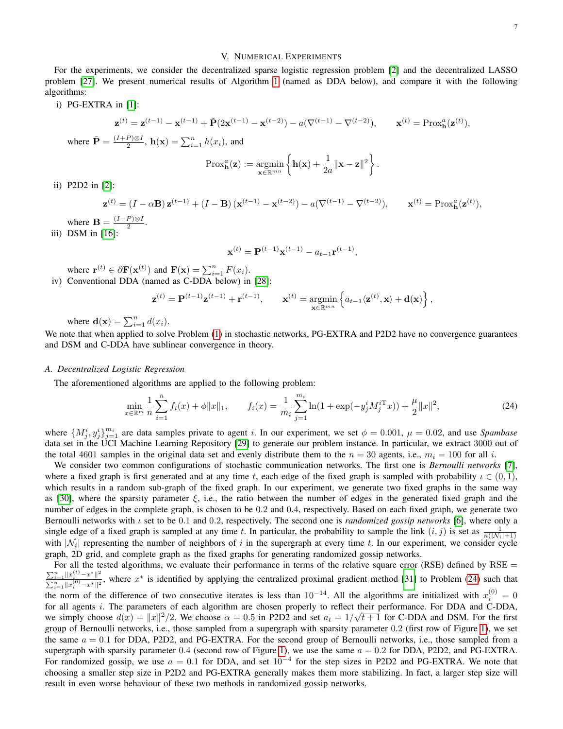#### V. NUMERICAL EXPERIMENTS

For the experiments, we consider the decentralized sparse logistic regression problem [\[2\]](#page-21-1) and the decentralized LASSO problem [\[27\]](#page-21-25). We present numerical results of Algorithm [1](#page-4-0) (named as DDA below), and compare it with the following algorithms:

i) PG-EXTRA in [\[1\]](#page-21-0):

$$
\mathbf{z}^{(t)} = \mathbf{z}^{(t-1)} - \mathbf{x}^{(t-1)} + \tilde{\mathbf{P}}(2\mathbf{x}^{(t-1)} - \mathbf{x}^{(t-2)}) - a(\nabla^{(t-1)} - \nabla^{(t-2)}), \qquad \mathbf{x}^{(t)} = \text{Prox}_{\mathbf{h}}^a(\mathbf{z}^{(t)}),
$$

where  $\tilde{\mathbf{P}} = \frac{(I+P)\otimes I}{2}$  $\frac{P}{2} \otimes I$ ,  $\mathbf{h}(\mathbf{x}) = \sum_{i=1}^{n} h(x_i)$ , and

$$
\text{Prox}_{\mathbf{h}}^{a}(\mathbf{z}) := \underset{\mathbf{x} \in \mathbb{R}^{mn}}{\text{argmin}} \left\{ \mathbf{h}(\mathbf{x}) + \frac{1}{2a} ||\mathbf{x} - \mathbf{z}||^{2} \right\}
$$

.

ii) P2D2 in [\[2\]](#page-21-1):

$$
\mathbf{z}^{(t)} = (I - \alpha \mathbf{B}) \mathbf{z}^{(t-1)} + (I - \mathbf{B}) (\mathbf{x}^{(t-1)} - \mathbf{x}^{(t-2)}) - a(\nabla^{(t-1)} - \nabla^{(t-2)}), \qquad \mathbf{x}^{(t)} = \text{Prox}_{\mathbf{h}}^a(\mathbf{z}^{(t)}),
$$

where  $\mathbf{B} = \frac{(I-P)\otimes I}{2}$  $\frac{P \times I}{2}$ .

iii) DSM in [\[16\]](#page-21-14):

$$
\mathbf{x}^{(t)} = \mathbf{P}^{(t-1)} \mathbf{x}^{(t-1)} - a_{t-1} \mathbf{r}^{(t-1)},
$$

where  $\mathbf{r}^{(t)} \in \partial \mathbf{F}(\mathbf{x}^{(t)})$  and  $\mathbf{F}(\mathbf{x}) = \sum_{i=1}^{n} F(x_i)$ .

iv) Conventional DDA (named as C-DDA below) in [\[28\]](#page-21-26):

$$
\mathbf{z}^{(t)} = \mathbf{P}^{(t-1)} \mathbf{z}^{(t-1)} + \mathbf{r}^{(t-1)}, \qquad \mathbf{x}^{(t)} = \operatorname*{argmin}_{\mathbf{x} \in \mathbb{R}^{mn}} \left\{ a_{t-1} \langle \mathbf{z}^{(t)}, \mathbf{x} \rangle + \mathbf{d}(\mathbf{x}) \right\},
$$

where  $\mathbf{d}(\mathbf{x}) = \sum_{i=1}^{n} d(x_i)$ .

We note that when applied to solve Problem [\(1\)](#page-0-0) in stochastic networks, PG-EXTRA and P2D2 have no convergence guarantees and DSM and C-DDA have sublinear convergence in theory.

#### *A. Decentralized Logistic Regression*

The aforementioned algorithms are applied to the following problem:

<span id="page-6-0"></span>
$$
\min_{x \in \mathbb{R}^m} \frac{1}{n} \sum_{i=1}^n f_i(x) + \phi \|x\|_1, \qquad f_i(x) = \frac{1}{m_i} \sum_{j=1}^{m_i} \ln(1 + \exp(-y_j^i M_j^{i \mathrm{T}} x)) + \frac{\mu}{2} \|x\|^2,\tag{24}
$$

where  $\{M_j^i, y_j^i\}_{j=1}^{m_i}$  are data samples private to agent i. In our experiment, we set  $\phi = 0.001$ ,  $\mu = 0.02$ , and use *Spambase* data set in the UCI Machine Learning Repository [\[29\]](#page-21-27) to generate our problem instance. In particular, we extract 3000 out of the total 4601 samples in the original data set and evenly distribute them to the  $n = 30$  agents, i.e.,  $m_i = 100$  for all i.

We consider two common configurations of stochastic communication networks. The first one is *Bernoulli networks* [\[7\]](#page-21-6), where a fixed graph is first generated and at any time t, each edge of the fixed graph is sampled with probability  $\iota \in (0,1)$ , which results in a random sub-graph of the fixed graph. In our experiment, we generate two fixed graphs in the same way as [\[30\]](#page-21-28), where the sparsity parameter  $\xi$ , i.e., the ratio between the number of edges in the generated fixed graph and the number of edges in the complete graph, is chosen to be 0.2 and 0.4, respectively. Based on each fixed graph, we generate two Bernoulli networks with ι set to be 0.1 and 0.2, respectively. The second one is *randomized gossip networks* [\[6\]](#page-21-5), where only a single edge of a fixed graph is sampled at any time t. In particular, the probability to sample the link  $(i, j)$  is set as  $\frac{1}{n(|N_i|+1)}$ with  $|N_i|$  representing the number of neighbors of i in the supergraph at every time t. In our experiment, we consider cycle graph, 2D grid, and complete graph as the fixed graphs for generating randomized gossip networks.

For all the tested algorithms, we evaluate their performance in terms of the relative square error (RSE) defined by  $RSE =$  $\sum_{i=1}^n ||x_i^{(t)} - x^*||^2$  $\frac{\sum_{i=1}^{n} ||x_i^{(i)} - x^*||^2}{\sum_{i=1}^{n} ||x_i^{(0)} - x^*||^2}$ , where  $x^*$  is identified by applying the centralized proximal gradient method [\[31\]](#page-21-29) to Problem [\(24\)](#page-6-0) such that the norm of the difference of two consecutive iterates is less than  $10^{-14}$ . All the algorithms are initialized with  $x_i^{(0)} = 0$ for all agents i. The parameters of each algorithm are chosen properly to reflect their performance. For DDA and C-DDA, we simply choose  $d(x) = ||x||^2/2$ . We choose  $\alpha = 0.5$  in P2D2 and set  $a_t = 1/\sqrt{t+1}$  for C-DDA and DSM. For the first group of Bernoulli networks, i.e., those sampled from a supergraph with sparsity parameter 0.2 (first row of Figure [1\)](#page-7-0), we set the same  $a = 0.1$  for DDA, P2D2, and PG-EXTRA. For the second group of Bernoulli networks, i.e., those sampled from a supergraph with sparsity parameter 0.4 (second row of Figure [1\)](#page-7-0), we use the same  $a = 0.2$  for DDA, P2D2, and PG-EXTRA. For randomized gossip, we use  $a = 0.1$  for DDA, and set  $10^{-4}$  for the step sizes in P2D2 and PG-EXTRA. We note that choosing a smaller step size in P2D2 and PG-EXTRA generally makes them more stabilizing. In fact, a larger step size will result in even worse behaviour of these two methods in randomized gossip networks.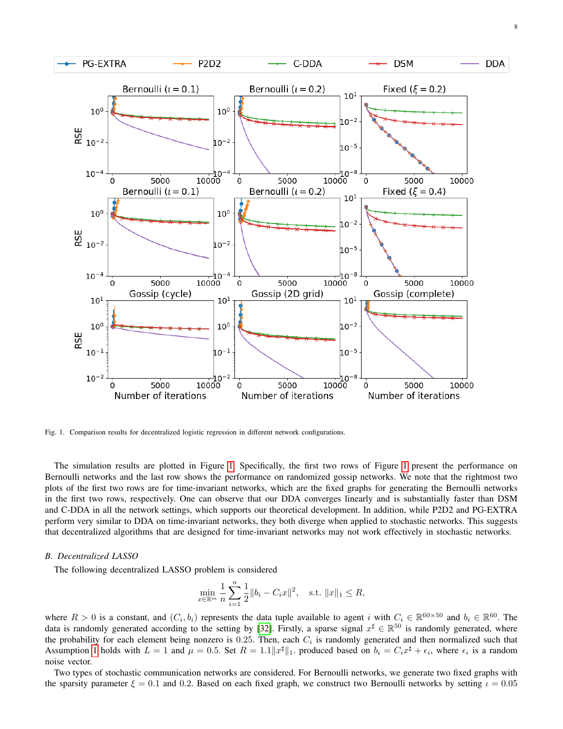

<span id="page-7-0"></span>Fig. 1. Comparison results for decentralized logistic regression in different network configurations.

The simulation results are plotted in Figure [1.](#page-7-0) Specifically, the first two rows of Figure [1](#page-7-0) present the performance on Bernoulli networks and the last row shows the performance on randomized gossip networks. We note that the rightmost two plots of the first two rows are for time-invariant networks, which are the fixed graphs for generating the Bernoulli networks in the first two rows, respectively. One can observe that our DDA converges linearly and is substantially faster than DSM and C-DDA in all the network settings, which supports our theoretical development. In addition, while P2D2 and PG-EXTRA perform very similar to DDA on time-invariant networks, they both diverge when applied to stochastic networks. This suggests that decentralized algorithms that are designed for time-invariant networks may not work effectively in stochastic networks.

#### *B. Decentralized LASSO*

The following decentralized LASSO problem is considered

$$
\min_{x \in \mathbb{R}^m} \frac{1}{n} \sum_{i=1}^n \frac{1}{2} \|b_i - C_i x\|^2, \quad \text{s.t. } \|x\|_1 \le R,
$$

where  $R > 0$  is a constant, and  $(C_i, b_i)$  represents the data tuple available to agent i with  $C_i \in \mathbb{R}^{60 \times 50}$  and  $b_i \in \mathbb{R}^{60}$ . The data is randomly generated according to the setting by [\[32\]](#page-21-30). Firstly, a sparse signal  $x^{\sharp} \in \mathbb{R}^{50}$  is randomly generated, where the probability for each element being nonzero is 0.25. Then, each  $C_i$  is randomly generated and then normalized such that Assumption [1](#page-2-0) holds with  $L = 1$  and  $\mu = 0.5$ . Set  $R = 1.1||x^{\sharp}||_1$ . produced based on  $b_i = C_i x^{\sharp} + \epsilon_i$ , where  $\epsilon_i$  is a random noise vector.

Two types of stochastic communication networks are considered. For Bernoulli networks, we generate two fixed graphs with the sparsity parameter  $\xi = 0.1$  and 0.2. Based on each fixed graph, we construct two Bernoulli networks by setting  $\iota = 0.05$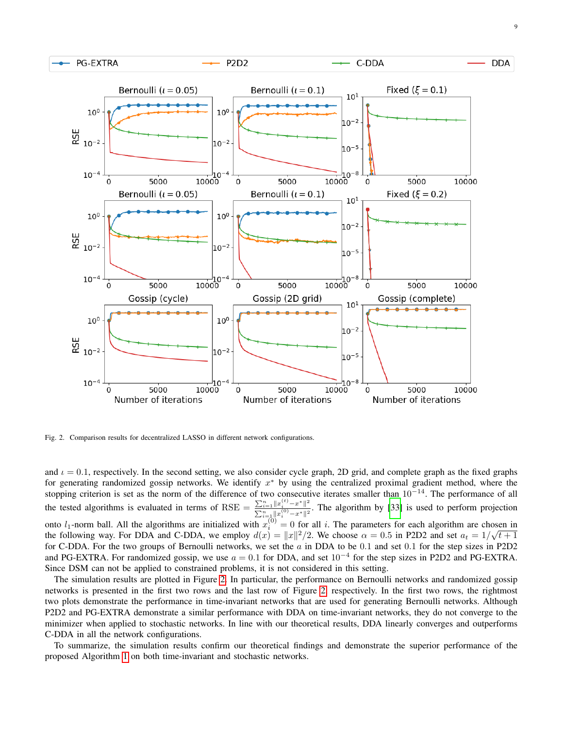

<span id="page-8-0"></span>Fig. 2. Comparison results for decentralized LASSO in different network configurations.

and  $\iota = 0.1$ , respectively. In the second setting, we also consider cycle graph, 2D grid, and complete graph as the fixed graphs for generating randomized gossip networks. We identify  $x^*$  by using the centralized proximal gradient method, where the stopping criterion is set as the norm of the difference of two consecutive iterates smaller than  $10^{-14}$ . The performance of all the tested algorithms is evaluated in terms of RSE =  $\frac{\sum_{i=1}^{n} ||x_i^{(t)} - x^*||^2}{\sum_{i=1}^{n} ||x_i^{(0)} - x^*||^2}$  $\frac{\sum_{i=1}^n ||x_i|| - x}{\sum_{i=1}^n ||x_i^{(0)} - x^*||^2}$ . The algorithm by [\[33\]](#page-21-31) is used to perform projection onto  $l_1$ -norm ball. All the algorithms are initialized with  $x_i^{(0)} = 0$  for all i. The parameters for each algorithm are chosen in the following way. For DDA and C-DDA, we employ  $d(x) = ||x||^2/2$ . We choose  $\alpha = 0.5$  in P2D2 and set  $a_t = 1/\sqrt{t+1}$ for C-DDA. For the two groups of Bernoulli networks, we set the  $a$  in DDA to be 0.1 and set 0.1 for the step sizes in P2D2 and PG-EXTRA. For randomized gossip, we use  $a = 0.1$  for DDA, and set  $10^{-4}$  for the step sizes in P2D2 and PG-EXTRA. Since DSM can not be applied to constrained problems, it is not considered in this setting.

The simulation results are plotted in Figure [2.](#page-8-0) In particular, the performance on Bernoulli networks and randomized gossip networks is presented in the first two rows and the last row of Figure [2,](#page-8-0) respectively. In the first two rows, the rightmost two plots demonstrate the performance in time-invariant networks that are used for generating Bernoulli networks. Although P2D2 and PG-EXTRA demonstrate a similar performance with DDA on time-invariant networks, they do not converge to the minimizer when applied to stochastic networks. In line with our theoretical results, DDA linearly converges and outperforms C-DDA in all the network configurations.

To summarize, the simulation results confirm our theoretical findings and demonstrate the superior performance of the proposed Algorithm [1](#page-4-0) on both time-invariant and stochastic networks.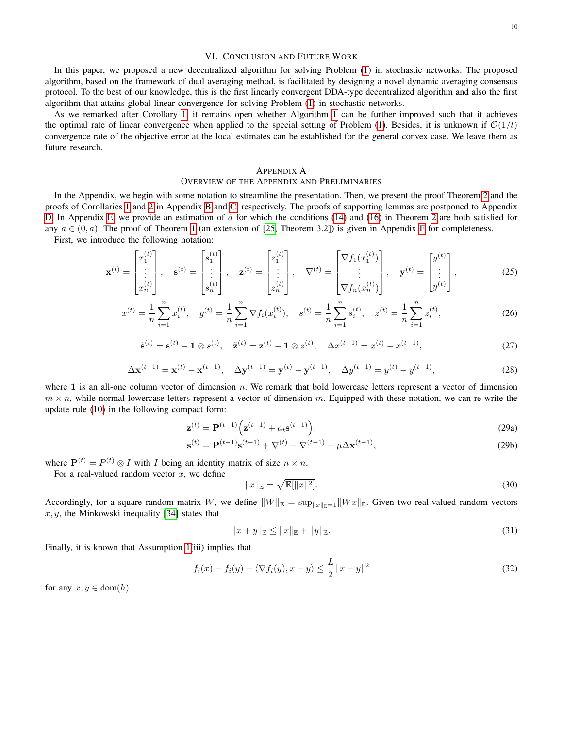#### VI. CONCLUSION AND FUTURE WORK

In this paper, we proposed a new decentralized algorithm for solving Problem [\(1\)](#page-0-0) in stochastic networks. The proposed algorithm, based on the framework of dual averaging method, is facilitated by designing a novel dynamic averaging consensus protocol. To the best of our knowledge, this is the first linearly convergent DDA-type decentralized algorithm and also the first algorithm that attains global linear convergence for solving Problem [\(1\)](#page-0-0) in stochastic networks.

As we remarked after Corollary [1,](#page-5-0) it remains open whether Algorithm [1](#page-4-0) can be further improved such that it achieves the optimal rate of linear convergence when applied to the special setting of Problem [\(1\)](#page-0-0). Besides, it is unknown if  $\mathcal{O}(1/t)$ convergence rate of the objective error at the local estimates can be established for the general convex case. We leave them as future research.

#### APPENDIX A

#### OVERVIEW OF THE APPENDIX AND PRELIMINARIES

In the Appendix, we begin with some notation to streamline the presentation. Then, we present the proof Theorem [2](#page-4-5) and the proofs of Corollaries [1](#page-5-0) and [2](#page-5-4) in Appendix [B](#page-10-0) and [C,](#page-12-3) respectively. The proofs of supporting lemmas are postponed to Appendix [D.](#page-13-1) In Appendix [E,](#page-18-0) we provide an estimation of  $\bar{a}$  for which the conditions [\(14\)](#page-4-1) and [\(16\)](#page-4-6) in Theorem [2](#page-4-5) are both satisfied for any  $a \in (0, \bar{a})$ . The proof of Theorem [1](#page-3-0) (an extension of [\[25,](#page-21-23) Theorem 3.2]) is given in Appendix [F](#page-19-0) for completeness. First, we introduce the following notation:

<span id="page-9-2"></span>
$$
\mathbf{x}^{(t)} = \begin{bmatrix} x_1^{(t)} \\ \vdots \\ x_n^{(t)} \end{bmatrix}, \quad \mathbf{s}^{(t)} = \begin{bmatrix} s_1^{(t)} \\ \vdots \\ s_n^{(t)} \end{bmatrix}, \quad \mathbf{z}^{(t)} = \begin{bmatrix} z_1^{(t)} \\ \vdots \\ z_n^{(t)} \end{bmatrix}, \quad \nabla^{(t)} = \begin{bmatrix} \nabla f_1(x_1^{(t)}) \\ \vdots \\ \nabla f_n(x_n^{(t)}) \end{bmatrix}, \quad \mathbf{y}^{(t)} = \begin{bmatrix} y^{(t)} \\ \vdots \\ y^{(t)} \end{bmatrix}, \tag{25}
$$

<span id="page-9-1"></span>
$$
\overline{x}^{(t)} = \frac{1}{n} \sum_{i=1}^{n} x_i^{(t)}, \quad \overline{g}^{(t)} = \frac{1}{n} \sum_{i=1}^{n} \nabla f_i(x_i^{(t)}), \quad \overline{s}^{(t)} = \frac{1}{n} \sum_{i=1}^{n} s_i^{(t)}, \quad \overline{z}^{(t)} = \frac{1}{n} \sum_{i=1}^{n} z_i^{(t)}, \tag{26}
$$

$$
\tilde{\mathbf{s}}^{(t)} = \mathbf{s}^{(t)} - \mathbf{1} \otimes \overline{\mathbf{s}}^{(t)}, \quad \tilde{\mathbf{z}}^{(t)} = \mathbf{z}^{(t)} - \mathbf{1} \otimes \overline{z}^{(t)}, \quad \Delta \overline{x}^{(t-1)} = \overline{x}^{(t)} - \overline{x}^{(t-1)}, \tag{27}
$$

$$
\Delta \mathbf{x}^{(t-1)} = \mathbf{x}^{(t)} - \mathbf{x}^{(t-1)}, \quad \Delta \mathbf{y}^{(t-1)} = \mathbf{y}^{(t)} - \mathbf{y}^{(t-1)}, \quad \Delta y^{(t-1)} = y^{(t)} - y^{(t-1)}, \tag{28}
$$

where 1 is an all-one column vector of dimension  $n$ . We remark that bold lowercase letters represent a vector of dimension  $m \times n$ , while normal lowercase letters represent a vector of dimension m. Equipped with these notation, we can re-write the update rule [\(10\)](#page-3-1) in the following compact form:

$$
\mathbf{z}^{(t)} = \mathbf{P}^{(t-1)} \Big( \mathbf{z}^{(t-1)} + a_t \mathbf{s}^{(t-1)} \Big),\tag{29a}
$$

$$
\mathbf{s}^{(t)} = \mathbf{P}^{(t-1)}\mathbf{s}^{(t-1)} + \nabla^{(t)} - \nabla^{(t-1)} - \mu \Delta \mathbf{x}^{(t-1)},\tag{29b}
$$

where  $P^{(t)} = P^{(t)} \otimes I$  with *I* being an identity matrix of size  $n \times n$ .

For a real-valued random vector  $x$ , we define

<span id="page-9-7"></span><span id="page-9-5"></span><span id="page-9-4"></span><span id="page-9-3"></span>
$$
||x||_{\mathbb{E}} = \sqrt{\mathbb{E}[||x||^2]}.
$$
\n(30)

Accordingly, for a square random matrix W, we define  $||W||_{\mathbb{E}} = \sup_{||x||_{\mathbb{E}}=1} ||Wx||_{\mathbb{E}}$ . Given two real-valued random vectors  $x, y$ , the Minkowski inequality [\[34\]](#page-21-32) states that

<span id="page-9-6"></span>
$$
||x + y||_{\mathbb{E}} \le ||x||_{\mathbb{E}} + ||y||_{\mathbb{E}}.
$$
\n(31)

Finally, it is known that Assumption [1\(](#page-2-0)iii) implies that

<span id="page-9-0"></span>
$$
f_i(x) - f_i(y) - \langle \nabla f_i(y), x - y \rangle \le \frac{L}{2} \|x - y\|^2 \tag{32}
$$

for any  $x, y \in \text{dom}(h)$ .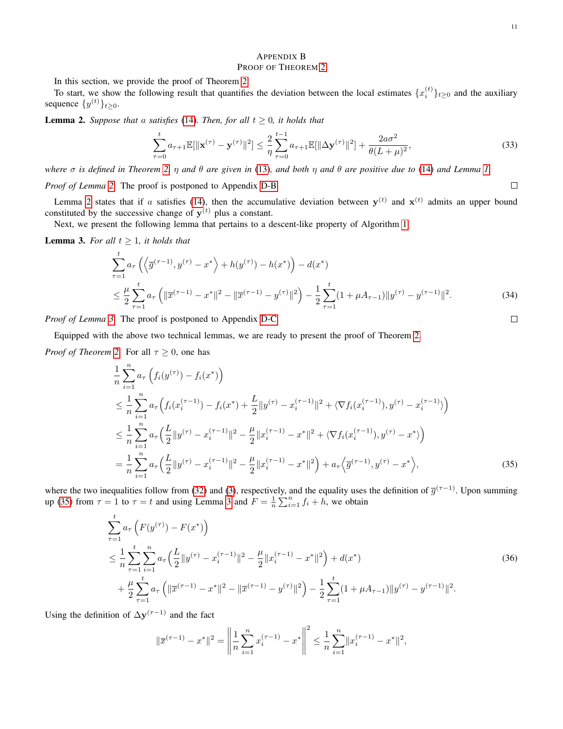# <span id="page-10-0"></span>APPENDIX B PROOF OF THEOREM [2](#page-4-5)

In this section, we provide the proof of Theorem [2.](#page-4-5)

To start, we show the following result that quantifies the deviation between the local estimates  $\{x_i^{(t)}\}_{t\geq0}$  and the auxiliary sequence  $\{y^{(t)}\}_{t\geq 0}$ .

<span id="page-10-1"></span>**Lemma 2.** *Suppose that* a *satisfies* [\(14\)](#page-4-1)*. Then, for all*  $t \ge 0$ *, it holds that* 

<span id="page-10-4"></span>
$$
\sum_{\tau=0}^{t} a_{\tau+1} \mathbb{E}[\|\mathbf{x}^{(\tau)} - \mathbf{y}^{(\tau)}\|^2] \leq \frac{2}{\eta} \sum_{\tau=0}^{t-1} a_{\tau+1} \mathbb{E}[\|\Delta \mathbf{y}^{(\tau)}\|^2] + \frac{2a\sigma^2}{\theta(L+\mu)^2},\tag{33}
$$

*where* σ *is defined in Theorem [2,](#page-4-5)* η *and* θ *are given in* [\(13\)](#page-4-3)*, and both* η *and* θ *are positive due to* [\(14\)](#page-4-1) *and Lemma [1.](#page-4-2)*

*Proof of Lemma [2.](#page-10-1)* The proof is postponed to Appendix [D-B.](#page-14-0)

Lemma [2](#page-10-1) states that if a satisfies [\(14\)](#page-4-1), then the accumulative deviation between  $y^{(t)}$  and  $x^{(t)}$  admits an upper bound constituted by the successive change of  $y^{(t)}$  plus a constant.

Next, we present the following lemma that pertains to a descent-like property of Algorithm [1.](#page-4-0)

<span id="page-10-2"></span>**Lemma 3.** *For all*  $t \geq 1$ *, it holds that* 

$$
\sum_{\tau=1}^{t} a_{\tau} \left( \left\langle \overline{g}^{(\tau-1)}, y^{(\tau)} - x^* \right\rangle + h(y^{(\tau)}) - h(x^*) \right) - d(x^*)
$$
\n
$$
\leq \frac{\mu}{2} \sum_{\tau=1}^{t} a_{\tau} \left( \| \overline{x}^{(\tau-1)} - x^* \|^2 - \| \overline{x}^{(\tau-1)} - y^{(\tau)} \|^2 \right) - \frac{1}{2} \sum_{\tau=1}^{t} (1 + \mu A_{\tau-1}) \| y^{(\tau)} - y^{(\tau-1)} \|^2.
$$
\n(34)

*Proof of Lemma [3.](#page-10-2)* The proof is postponed to Appendix [D-C.](#page-17-0)

Equipped with the above two technical lemmas, we are ready to present the proof of Theorem [2.](#page-4-5)

*Proof of Theorem [2.](#page-4-5)* For all  $\tau \geq 0$ , one has

$$
\frac{1}{n} \sum_{i=1}^{n} a_{\tau} \left( f_i(y^{(\tau)}) - f_i(x^*) \right)
$$
\n
$$
\leq \frac{1}{n} \sum_{i=1}^{n} a_{\tau} \left( f_i(x_i^{(\tau-1)}) - f_i(x^*) + \frac{L}{2} ||y^{(\tau)} - x_i^{(\tau-1)}||^2 + \langle \nabla f_i(x_i^{(\tau-1)}), y^{(\tau)} - x_i^{(\tau-1)} \rangle \right)
$$
\n
$$
\leq \frac{1}{n} \sum_{i=1}^{n} a_{\tau} \left( \frac{L}{2} ||y^{(\tau)} - x_i^{(\tau-1)}||^2 - \frac{\mu}{2} ||x_i^{(\tau-1)} - x^*||^2 + \langle \nabla f_i(x_i^{(\tau-1)}), y^{(\tau)} - x^* \rangle \right)
$$
\n
$$
= \frac{1}{n} \sum_{i=1}^{n} a_{\tau} \left( \frac{L}{2} ||y^{(\tau)} - x_i^{(\tau-1)}||^2 - \frac{\mu}{2} ||x_i^{(\tau-1)} - x^*||^2 \right) + a_{\tau} \left\langle \overline{g}^{(\tau-1)}, y^{(\tau)} - x^* \right\rangle,
$$
\n(35)

where the two inequalities follow from [\(32\)](#page-9-0) and [\(3\)](#page-2-6), respectively, and the equality uses the definition of  $\overline{g}^{(\tau-1)}$ . Upon summing up [\(35\)](#page-10-3) from  $\tau = 1$  to  $\tau = t$  and using Lemma [3](#page-10-2) and  $F = \frac{1}{n} \sum_{i=1}^{n} f_i + h$ , we obtain

$$
\sum_{\tau=1}^{t} a_{\tau} \left( F(y^{(\tau)}) - F(x^{*}) \right)
$$
\n
$$
\leq \frac{1}{n} \sum_{\tau=1}^{t} \sum_{i=1}^{n} a_{\tau} \left( \frac{L}{2} \| y^{(\tau)} - x_{i}^{(\tau-1)} \|^{2} - \frac{\mu}{2} \| x_{i}^{(\tau-1)} - x^{*} \|^{2} \right) + d(x^{*})
$$
\n
$$
+ \frac{\mu}{2} \sum_{\tau=1}^{t} a_{\tau} \left( \| \overline{x}^{(\tau-1)} - x^{*} \|^{2} - \| \overline{x}^{(\tau-1)} - y^{(\tau)} \|^{2} \right) - \frac{1}{2} \sum_{\tau=1}^{t} (1 + \mu A_{\tau-1}) \| y^{(\tau)} - y^{(\tau-1)} \|^{2}.
$$
\n(36)

Using the definition of  $\Delta y^{(\tau-1)}$  and the fact

$$
\|\overline{x}^{(\tau-1)} - x^*\|^2 = \left\|\frac{1}{n}\sum_{i=1}^n x_i^{(\tau-1)} - x^*\right\|^2 \le \frac{1}{n}\sum_{i=1}^n \|x_i^{(\tau-1)} - x^*\|^2,
$$

<span id="page-10-5"></span><span id="page-10-3"></span>
$$
\Box
$$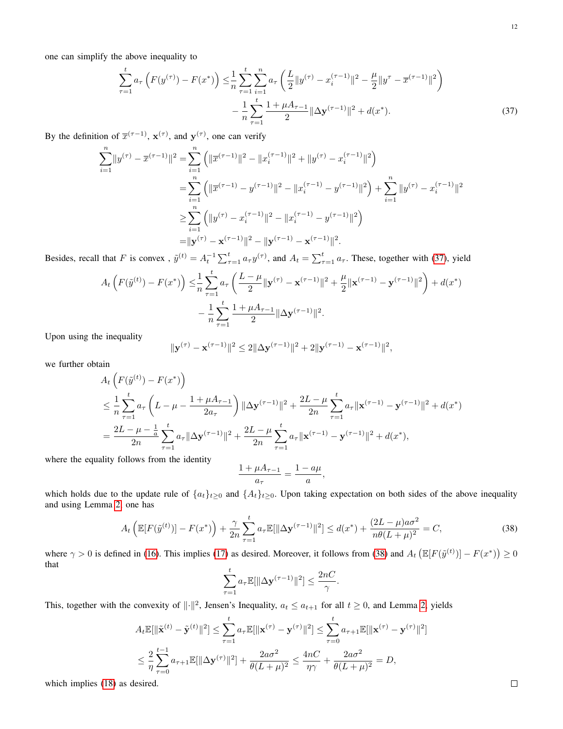<span id="page-11-0"></span>
$$
\sum_{\tau=1}^{t} a_{\tau} \left( F(y^{(\tau)}) - F(x^*) \right) \leq \frac{1}{n} \sum_{\tau=1}^{t} \sum_{i=1}^{n} a_{\tau} \left( \frac{L}{2} \| y^{(\tau)} - x_i^{(\tau-1)} \|^2 - \frac{\mu}{2} \| y^{\tau} - \overline{x}^{(\tau-1)} \|^2 \right) - \frac{1}{n} \sum_{\tau=1}^{t} \frac{1 + \mu A_{\tau-1}}{2} \| \Delta y^{(\tau-1)} \|^2 + d(x^*).
$$
 (37)

By the definition of  $\bar{x}^{(\tau-1)}$ ,  $\mathbf{x}^{(\tau)}$ , and  $\mathbf{y}^{(\tau)}$ , one can verify

$$
\sum_{i=1}^{n} ||y^{(\tau)} - \overline{x}^{(\tau-1)}||^2 = \sum_{i=1}^{n} (||\overline{x}^{(\tau-1)}||^2 - ||x_i^{(\tau-1)}||^2 + ||y^{(\tau)} - x_i^{(\tau-1)}||^2)
$$
  
\n
$$
= \sum_{i=1}^{n} (||\overline{x}^{(\tau-1)} - y^{(\tau-1)}||^2 - ||x_i^{(\tau-1)} - y^{(\tau-1)}||^2) + \sum_{i=1}^{n} ||y^{(\tau)} - x_i^{(\tau-1)}||^2
$$
  
\n
$$
\geq \sum_{i=1}^{n} (||y^{(\tau)} - x_i^{(\tau-1)}||^2 - ||x_i^{(\tau-1)} - y^{(\tau-1)}||^2)
$$
  
\n
$$
= ||y^{(\tau)} - x^{(\tau-1)}||^2 - ||y^{(\tau-1)} - x^{(\tau-1)}||^2.
$$

Besides, recall that F is convex,  $\tilde{y}^{(t)} = A_t^{-1} \sum_{\tau=1}^t a_\tau y^{(\tau)}$ , and  $A_t = \sum_{\tau=1}^t a_\tau$ . These, together with [\(37\)](#page-11-0), yield

$$
A_t\left(F(\tilde{y}^{(t)}) - F(x^*)\right) \leq \frac{1}{n} \sum_{\tau=1}^t a_\tau \left(\frac{L-\mu}{2} \|\mathbf{y}^{(\tau)} - \mathbf{x}^{(\tau-1)}\|^2 + \frac{\mu}{2} \|\mathbf{x}^{(\tau-1)} - \mathbf{y}^{(\tau-1)}\|^2\right) + d(x^*)
$$

$$
- \frac{1}{n} \sum_{\tau=1}^t \frac{1+\mu A_{\tau-1}}{2} \|\Delta \mathbf{y}^{(\tau-1)}\|^2.
$$

Upon using the inequality

$$
\|\mathbf{y}^{(\tau)} - \mathbf{x}^{(\tau-1)}\|^2 \le 2\|\Delta \mathbf{y}^{(\tau-1)}\|^2 + 2\|\mathbf{y}^{(\tau-1)} - \mathbf{x}^{(\tau-1)}\|^2,
$$

we further obtain

$$
A_{t}\left(F(\tilde{y}^{(t)}) - F(x^{*})\right)
$$
  
\n
$$
\leq \frac{1}{n} \sum_{\tau=1}^{t} a_{\tau} \left(L - \mu - \frac{1 + \mu A_{\tau-1}}{2a_{\tau}}\right) \|\Delta \mathbf{y}^{(\tau-1)}\|^{2} + \frac{2L - \mu}{2n} \sum_{\tau=1}^{t} a_{\tau} \|\mathbf{x}^{(\tau-1)} - \mathbf{y}^{(\tau-1)}\|^{2} + d(x^{*})
$$
  
\n
$$
= \frac{2L - \mu - \frac{1}{a}}{2n} \sum_{\tau=1}^{t} a_{\tau} \|\Delta \mathbf{y}^{(\tau-1)}\|^{2} + \frac{2L - \mu}{2n} \sum_{\tau=1}^{t} a_{\tau} \|\mathbf{x}^{(\tau-1)} - \mathbf{y}^{(\tau-1)}\|^{2} + d(x^{*}),
$$
  
\n
$$
\text{This is } \mathbb{E} \|\mathbf{y}\|_{\infty} \leq \mathbb{E} \|\mathbf{y}\|_{\infty} \leq \mathbb{E} \|\mathbf{y}\|_{\infty} \leq \mathbb{E} \|\mathbf{y}\|_{\infty} \leq \mathbb{E} \|\mathbf{y}\|_{\infty} \leq \mathbb{E} \|\mathbf{y}\|_{\infty} \leq \mathbb{E} \|\mathbf{y}\|_{\infty} \leq \mathbb{E} \|\mathbf{y}\|_{\infty} \leq \mathbb{E} \|\mathbf{y}\|_{\infty} \leq \mathbb{E} \|\mathbf{y}\|_{\infty} \leq \mathbb{E} \|\mathbf{y}\|_{\infty} \leq \mathbb{E} \|\mathbf{y}\|_{\infty} \leq \mathbb{E} \|\mathbf{y}\|_{\infty} \leq \mathbb{E} \|\mathbf{y}\|_{\infty} \leq \mathbb{E} \|\mathbf{y}\|_{\infty} \leq \mathbb{E} \|\mathbf{y}\|_{\infty} \leq \mathbb{E} \|\mathbf{y}\|_{\infty} \leq \mathbb{E} \|\mathbf{y}\|_{\infty} \leq \mathbb{E} \|\mathbf{y}\|_{\infty} \leq \mathbb{E} \|\mathbf{y}\
$$

where the equality follows from the identity

$$
\frac{1+\mu A_{\tau-1}}{a_{\tau}}=\frac{1-a\mu}{a},
$$

which holds due to the update rule of  $\{a_t\}_{t\geq 0}$  and  $\{A_t\}_{t\geq 0}$ . Upon taking expectation on both sides of the above inequality and using Lemma [2,](#page-10-1) one has

$$
A_t \left( \mathbb{E}[F(\tilde{y}^{(t)})] - F(x^*) \right) + \frac{\gamma}{2n} \sum_{\tau=1}^t a_\tau \mathbb{E}[\|\Delta \mathbf{y}^{(\tau-1)}\|^2] \le d(x^*) + \frac{(2L - \mu)a\sigma^2}{n\theta(L + \mu)^2} = C,\tag{38}
$$

<span id="page-11-1"></span>.

where  $\gamma > 0$  is defined in [\(16\)](#page-4-6). This implies [\(17\)](#page-4-7) as desired. Moreover, it follows from [\(38\)](#page-11-1) and  $A_t \left( \mathbb{E}[F(\tilde{y}^{(t)})] - F(x^*) \right) \ge 0$ that

$$
\sum_{\tau=1}^t a_\tau \mathbb{E}[\|\Delta \mathbf{y}^{(\tau-1)}\|^2] \le \frac{2nC}{\gamma}
$$

This, together with the convexity of  $\|\cdot\|^2$ , Jensen's Inequality,  $a_t \le a_{t+1}$  for all  $t \ge 0$ , and Lemma [2,](#page-10-1) yields

$$
A_t \mathbb{E}[\|\tilde{\mathbf{x}}^{(t)} - \tilde{\mathbf{y}}^{(t)}\|^2] \le \sum_{\tau=1}^t a_\tau \mathbb{E}[\|\mathbf{x}^{(\tau)} - \mathbf{y}^{(\tau)}\|^2] \le \sum_{\tau=0}^t a_{\tau+1} \mathbb{E}[\|\mathbf{x}^{(\tau)} - \mathbf{y}^{(\tau)}\|^2]
$$
  

$$
\le \frac{2}{\eta} \sum_{\tau=0}^{t-1} a_{\tau+1} \mathbb{E}[\|\Delta \mathbf{y}^{(\tau)}\|^2] + \frac{2a\sigma^2}{\theta(L+\mu)^2} \le \frac{4nC}{\eta\gamma} + \frac{2a\sigma^2}{\theta(L+\mu)^2} = D,
$$

which implies [\(18\)](#page-5-5) as desired.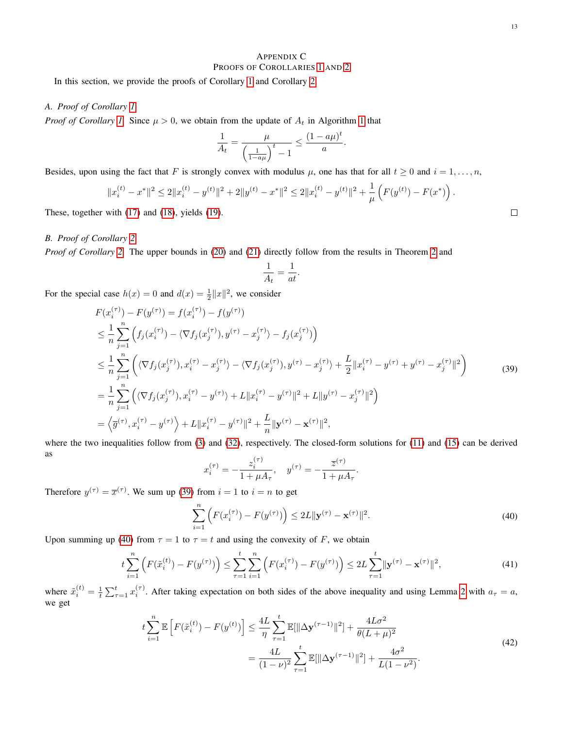# <span id="page-12-3"></span>APPENDIX C PROOFS OF COROLLARIES [1](#page-5-0) AND [2](#page-5-4)

In this section, we provide the proofs of Corollary [1](#page-5-0) and Corollary [2.](#page-5-4)

# <span id="page-12-0"></span>*A. Proof of Corollary [1](#page-5-0)*

*Proof of Corollary [1.](#page-5-0)* Since  $\mu > 0$ , we obtain from the update of  $A_t$  in Algorithm [1](#page-4-0) that

$$
\frac{1}{A_t} = \frac{\mu}{\left(\frac{1}{1-a\mu}\right)^t - 1} \le \frac{(1-a\mu)^t}{a}.
$$

Besides, upon using the fact that F is strongly convex with modulus  $\mu$ , one has that for all  $t \ge 0$  and  $i = 1, \ldots, n$ ,

$$
||x_i^{(t)} - x^*||^2 \le 2||x_i^{(t)} - y^{(t)}||^2 + 2||y^{(t)} - x^*||^2 \le 2||x_i^{(t)} - y^{(t)}||^2 + \frac{1}{\mu}\left(F(y^{(t)}) - F(x^*)\right).
$$

These, together with [\(17\)](#page-4-7) and [\(18\)](#page-5-5), yields [\(19\)](#page-5-6).

# <span id="page-12-1"></span>*B. Proof of Corollary [2](#page-5-4)*

*Proof of Corollary* [2.](#page-5-4) The upper bounds in [\(20\)](#page-5-1) and [\(21\)](#page-5-2) directly follow from the results in Theorem [2](#page-4-5) and

$$
\frac{1}{A_t} = \frac{1}{at}.
$$

<span id="page-12-4"></span>For the special case  $h(x) = 0$  and  $d(x) = \frac{1}{2} ||x||^2$ , we consider

$$
F(x_i^{(\tau)}) - F(y^{(\tau)}) = f(x_i^{(\tau)}) - f(y^{(\tau)})
$$
  
\n
$$
\leq \frac{1}{n} \sum_{j=1}^n \left( f_j(x_i^{(\tau)}) - \langle \nabla f_j(x_j^{(\tau)}), y^{(\tau)} - x_j^{(\tau)} \rangle - f_j(x_j^{(\tau)}) \right)
$$
  
\n
$$
\leq \frac{1}{n} \sum_{j=1}^n \left( \langle \nabla f_j(x_j^{(\tau)}), x_i^{(\tau)} - x_j^{(\tau)} \rangle - \langle \nabla f_j(x_j^{(\tau)}), y^{(\tau)} - x_j^{(\tau)} \rangle + \frac{L}{2} ||x_i^{(\tau)} - y^{(\tau)} + y^{(\tau)} - x_j^{(\tau)}||^2 \right)
$$
  
\n
$$
= \frac{1}{n} \sum_{j=1}^n \left( \langle \nabla f_j(x_j^{(\tau)}), x_i^{(\tau)} - y^{(\tau)} \rangle + L ||x_i^{(\tau)} - y^{(\tau)}||^2 + L ||y^{(\tau)} - x_j^{(\tau)}||^2 \right)
$$
  
\n
$$
= \left\langle \overline{g}^{(\tau)}, x_i^{(\tau)} - y^{(\tau)} \right\rangle + L ||x_i^{(\tau)} - y^{(\tau)}||^2 + \frac{L}{n} ||y^{(\tau)} - x^{(\tau)}||^2,
$$
 (39)

where the two inequalities follow from [\(3\)](#page-2-6) and [\(32\)](#page-9-0), respectively. The closed-form solutions for [\(11\)](#page-3-4) and [\(15\)](#page-4-4) can be derived as

$$
x_i^{(\tau)} = -\frac{z_i^{(\tau)}}{1 + \mu A_\tau}, \quad y^{(\tau)} = -\frac{\overline{z}^{(\tau)}}{1 + \mu A_\tau}.
$$

<span id="page-12-2"></span>Therefore  $y^{(\tau)} = \overline{x}^{(\tau)}$ . We sum up [\(39\)](#page-12-4) from  $i = 1$  to  $i = n$  to get

$$
\sum_{i=1}^{n} \left( F(x_i^{(\tau)}) - F(y^{(\tau)}) \right) \le 2L \|\mathbf{y}^{(\tau)} - \mathbf{x}^{(\tau)}\|^2.
$$
\n(40)

Upon summing up [\(40\)](#page-12-2) from  $\tau = 1$  to  $\tau = t$  and using the convexity of F, we obtain

$$
t\sum_{i=1}^{n} \left( F(\tilde{x}_i^{(t)}) - F(y^{(\tau)}) \right) \le \sum_{\tau=1}^{t} \sum_{i=1}^{n} \left( F(x_i^{(\tau)}) - F(y^{(\tau)}) \right) \le 2L \sum_{\tau=1}^{t} \|\mathbf{y}^{(\tau)} - \mathbf{x}^{(\tau)}\|^2,
$$
\n(41)

<span id="page-12-5"></span>where  $\tilde{x}_i^{(t)} = \frac{1}{t} \sum_{\tau=1}^t x_i^{(\tau)}$ . After taking expectation on both sides of the above inequality and using Lemma [2](#page-10-1) with  $a_{\tau} = a$ , we get

$$
t\sum_{i=1}^{n} \mathbb{E}\left[F(\tilde{x}_i^{(t)}) - F(y^{(t)})\right] \le \frac{4L}{\eta} \sum_{\tau=1}^{t} \mathbb{E}[\|\Delta \mathbf{y}^{(\tau-1)}\|^2] + \frac{4L\sigma^2}{\theta(L+\mu)^2}
$$
  
= 
$$
\frac{4L}{(1-\nu)^2} \sum_{\tau=1}^{t} \mathbb{E}[\|\Delta \mathbf{y}^{(\tau-1)}\|^2] + \frac{4\sigma^2}{L(1-\nu^2)}.
$$
 (42)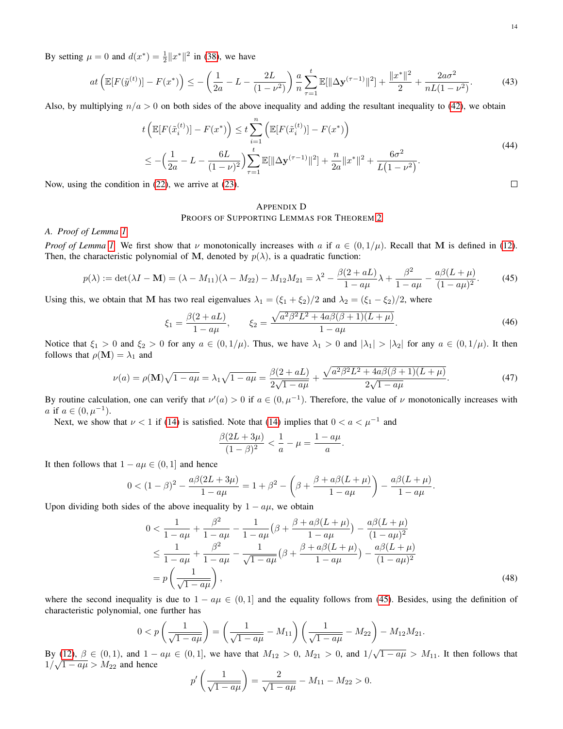By setting  $\mu = 0$  and  $d(x^*) = \frac{1}{2} ||x^*||^2$  in [\(38\)](#page-11-1), we have

$$
at\left(\mathbb{E}[F(\tilde{y}^{(t)})] - F(x^*)\right) \le -\left(\frac{1}{2a} - L - \frac{2L}{(1-\nu^2)}\right) \frac{a}{n} \sum_{\tau=1}^t \mathbb{E}[\|\Delta \mathbf{y}^{(\tau-1)}\|^2] + \frac{\|x^*\|^2}{2} + \frac{2a\sigma^2}{nL(1-\nu^2)}.
$$
\n(43)

Also, by multiplying  $n/a > 0$  on both sides of the above inequality and adding the resultant inequality to [\(42\)](#page-12-5), we obtain

$$
t\left(\mathbb{E}[F(\tilde{x}_i^{(t)})] - F(x^*)\right) \le t \sum_{i=1}^n \left(\mathbb{E}[F(\tilde{x}_i^{(t)})] - F(x^*)\right)
$$
  
\n
$$
\le -\left(\frac{1}{2a} - L - \frac{6L}{(1-\nu)^2}\right) \sum_{\tau=1}^t \mathbb{E}[\|\Delta \mathbf{y}^{(\tau-1)}\|^2] + \frac{n}{2a} \|x^*\|^2 + \frac{6\sigma^2}{L(1-\nu^2)}.
$$
\n(44)  
\n*in* (22), we arrive at (23).

Now, using the condition in [\(22\)](#page-5-7), we arrive at [\(23\)](#page-5-3).

# <span id="page-13-1"></span>APPENDIX D PROOFS OF SUPPORTING LEMMAS FOR THEOREM [2](#page-4-5)

#### <span id="page-13-0"></span>*A. Proof of Lemma [1](#page-4-2)*

*Proof of Lemma [1.](#page-4-2)* We first show that  $\nu$  monotonically increases with a if  $a \in (0, 1/\mu)$ . Recall that M is defined in [\(12\)](#page-4-8). Then, the characteristic polynomial of M, denoted by  $p(\lambda)$ , is a quadratic function:

<span id="page-13-2"></span>
$$
p(\lambda) := \det(\lambda I - \mathbf{M}) = (\lambda - M_{11})(\lambda - M_{22}) - M_{12}M_{21} = \lambda^2 - \frac{\beta(2 + aL)}{1 - a\mu}\lambda + \frac{\beta^2}{1 - a\mu} - \frac{a\beta(L + \mu)}{(1 - a\mu)^2}.
$$
 (45)

<span id="page-13-4"></span>Using this, we obtain that M has two real eigenvalues  $\lambda_1 = (\xi_1 + \xi_2)/2$  and  $\lambda_2 = (\xi_1 - \xi_2)/2$ , where

$$
\xi_1 = \frac{\beta(2 + aL)}{1 - a\mu}, \qquad \xi_2 = \frac{\sqrt{a^2 \beta^2 L^2 + 4a\beta(\beta + 1)(L + \mu)}}{1 - a\mu}.
$$
\n(46)

Notice that  $\xi_1 > 0$  and  $\xi_2 > 0$  for any  $a \in (0, 1/\mu)$ . Thus, we have  $\lambda_1 > 0$  and  $|\lambda_1| > |\lambda_2|$  for any  $a \in (0, 1/\mu)$ . It then follows that  $\rho(\mathbf{M}) = \lambda_1$  and

$$
\nu(a) = \rho(\mathbf{M})\sqrt{1 - a\mu} = \lambda_1\sqrt{1 - a\mu} = \frac{\beta(2 + aL)}{2\sqrt{1 - a\mu}} + \frac{\sqrt{a^2\beta^2L^2 + 4a\beta(\beta + 1)(L + \mu)}}{2\sqrt{1 - a\mu}}.
$$
(47)

By routine calculation, one can verify that  $\nu'(a) > 0$  if  $a \in (0, \mu^{-1})$ . Therefore, the value of  $\nu$  monotonically increases with *a* if  $a \in (0, \mu^{-1})$ .

Next, we show that  $\nu < 1$  if [\(14\)](#page-4-1) is satisfied. Note that (14) implies that  $0 < a < \mu^{-1}$  and

<span id="page-13-3"></span>
$$
\frac{\beta(2L+3\mu)}{(1-\beta)^2} < \frac{1}{a} - \mu = \frac{1-a\mu}{a}.
$$

It then follows that  $1 - a\mu \in (0, 1]$  and hence

$$
0 < (1 - \beta)^2 - \frac{a\beta(2L + 3\mu)}{1 - a\mu} = 1 + \beta^2 - \left(\beta + \frac{\beta + a\beta(L + \mu)}{1 - a\mu}\right) - \frac{a\beta(L + \mu)}{1 - a\mu}.
$$

Upon dividing both sides of the above inequality by  $1 - a\mu$ , we obtain

$$
0 < \frac{1}{1 - a\mu} + \frac{\beta^2}{1 - a\mu} - \frac{1}{1 - a\mu} \left(\beta + \frac{\beta + a\beta(L + \mu)}{1 - a\mu}\right) - \frac{a\beta(L + \mu)}{(1 - a\mu)^2} \\
\leq \frac{1}{1 - a\mu} + \frac{\beta^2}{1 - a\mu} - \frac{1}{\sqrt{1 - a\mu}} \left(\beta + \frac{\beta + a\beta(L + \mu)}{1 - a\mu}\right) - \frac{a\beta(L + \mu)}{(1 - a\mu)^2} \\
= p\left(\frac{1}{\sqrt{1 - a\mu}}\right),\n\tag{48}
$$

where the second inequality is due to  $1 - a\mu \in (0, 1]$  and the equality follows from [\(45\)](#page-13-2). Besides, using the definition of characteristic polynomial, one further has

$$
0 < p\left(\frac{1}{\sqrt{1 - a\mu}}\right) = \left(\frac{1}{\sqrt{1 - a\mu}} - M_{11}\right)\left(\frac{1}{\sqrt{1 - a\mu}} - M_{22}\right) - M_{12}M_{21}.
$$

By [\(12\)](#page-4-8),  $\beta \in (0,1)$ , and  $1 - a\mu \in (0,1]$ , we have that  $M_{12} > 0$ ,  $M_{21} > 0$ , and  $1/\sqrt{1 - a\mu} > M_{11}$ . It then follows that  $1/\sqrt{1-a\mu} > M_{22}$  and hence

$$
p'\left(\frac{1}{\sqrt{1-a\mu}}\right) = \frac{2}{\sqrt{1-a\mu}} - M_{11} - M_{22} > 0.
$$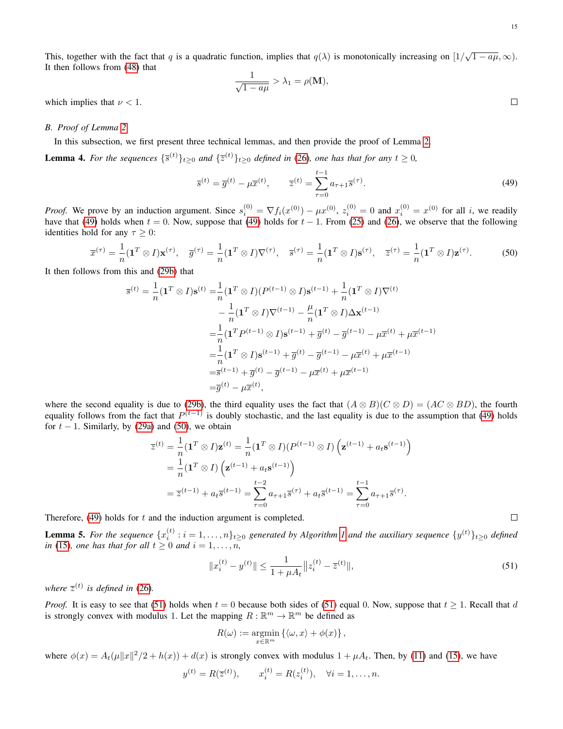This, together with the fact that q is a quadratic function, implies that  $q(\lambda)$  is monotonically increasing on  $[1/\sqrt{1-a\mu}, \infty)$ . It then follows from [\(48\)](#page-13-3) that

$$
\frac{1}{\sqrt{1 - a\mu}} > \lambda_1 = \rho(\mathbf{M}),
$$

which implies that  $\nu < 1$ .

#### <span id="page-14-0"></span>*B. Proof of Lemma [2](#page-10-1)*

In this subsection, we first present three technical lemmas, and then provide the proof of Lemma [2.](#page-10-1)

<span id="page-14-4"></span><span id="page-14-1"></span>**Lemma 4.** For the sequences  $\{\bar{s}^{(t)}\}_{t\geq 0}$  and  $\{\bar{z}^{(t)}\}_{t\geq 0}$  defined in [\(26\)](#page-9-1), one has that for any  $t \geq 0$ ,

$$
\overline{s}^{(t)} = \overline{g}^{(t)} - \mu \overline{x}^{(t)}, \qquad \overline{z}^{(t)} = \sum_{\tau=0}^{t-1} a_{\tau+1} \overline{s}^{(\tau)}.
$$
\n(49)

*Proof.* We prove by an induction argument. Since  $s_i^{(0)} = \nabla f_i(x^{(0)}) - \mu x^{(0)}$ ,  $z_i^{(0)} = 0$  and  $x_i^{(0)} = x^{(0)}$  for all i, we readily have that [\(49\)](#page-14-1) holds when  $t = 0$ . Now, suppose that (49) holds for  $t - 1$ . From [\(25\)](#page-9-2) and [\(26\)](#page-9-1), we observe that the following identities hold for any  $\tau \geq 0$ :

<span id="page-14-2"></span>
$$
\overline{x}^{(\tau)} = \frac{1}{n} (\mathbf{1}^T \otimes I) \mathbf{x}^{(\tau)}, \quad \overline{g}^{(\tau)} = \frac{1}{n} (\mathbf{1}^T \otimes I) \nabla^{(\tau)}, \quad \overline{s}^{(\tau)} = \frac{1}{n} (\mathbf{1}^T \otimes I) \mathbf{s}^{(\tau)}, \quad \overline{z}^{(\tau)} = \frac{1}{n} (\mathbf{1}^T \otimes I) \mathbf{z}^{(\tau)}.
$$
 (50)

It then follows from this and [\(29b\)](#page-9-3) that

$$
\overline{s}^{(t)} = \frac{1}{n} (\mathbf{1}^T \otimes I) \mathbf{s}^{(t)} = \frac{1}{n} (\mathbf{1}^T \otimes I) (P^{(t-1)} \otimes I) \mathbf{s}^{(t-1)} + \frac{1}{n} (\mathbf{1}^T \otimes I) \nabla^{(t)}
$$
  
\n
$$
- \frac{1}{n} (\mathbf{1}^T \otimes I) \nabla^{(t-1)} - \frac{\mu}{n} (\mathbf{1}^T \otimes I) \Delta \mathbf{x}^{(t-1)}
$$
  
\n
$$
= \frac{1}{n} (\mathbf{1}^T P^{(t-1)} \otimes I) \mathbf{s}^{(t-1)} + \overline{g}^{(t)} - \overline{g}^{(t-1)} - \mu \overline{x}^{(t)} + \mu \overline{x}^{(t-1)}
$$
  
\n
$$
= \frac{1}{n} (\mathbf{1}^T \otimes I) \mathbf{s}^{(t-1)} + \overline{g}^{(t)} - \overline{g}^{(t-1)} - \mu \overline{x}^{(t)} + \mu \overline{x}^{(t-1)}
$$
  
\n
$$
= \overline{s}^{(t-1)} + \overline{g}^{(t)} - \overline{g}^{(t-1)} - \mu \overline{x}^{(t)} + \mu \overline{x}^{(t-1)}
$$
  
\n
$$
= \overline{g}^{(t)} - \mu \overline{x}^{(t)},
$$

where the second equality is due to [\(29b\)](#page-9-3), the third equality uses the fact that  $(A \otimes B)(C \otimes D) = (AC \otimes BD)$ , the fourth equality follows from the fact that  $P^{(t-1)}$  is doubly stochastic, and the last equality is due to the assumption that [\(49\)](#page-14-1) holds for  $t - 1$ . Similarly, by [\(29a\)](#page-9-4) and [\(50\)](#page-14-2), we obtain

$$
\overline{z}^{(t)} = \frac{1}{n} (\mathbf{1}^T \otimes I) \mathbf{z}^{(t)} = \frac{1}{n} (\mathbf{1}^T \otimes I) (P^{(t-1)} \otimes I) \left( \mathbf{z}^{(t-1)} + a_t \mathbf{s}^{(t-1)} \right)
$$
  
\n
$$
= \frac{1}{n} (\mathbf{1}^T \otimes I) \left( \mathbf{z}^{(t-1)} + a_t \mathbf{s}^{(t-1)} \right)
$$
  
\n
$$
= \overline{z}^{(t-1)} + a_t \overline{s}^{(t-1)} = \sum_{\tau=0}^{t-2} a_{\tau+1} \overline{s}^{(\tau)} + a_t \overline{s}^{(t-1)} = \sum_{\tau=0}^{t-1} a_{\tau+1} \overline{s}^{(\tau)}.
$$

Therefore,  $(49)$  holds for t and the induction argument is completed.

<span id="page-14-5"></span>**Lemma 5.** For the sequence  $\{x_i^{(t)}: i = 1, \ldots, n\}_{t \geq 0}$  $\{x_i^{(t)}: i = 1, \ldots, n\}_{t \geq 0}$  $\{x_i^{(t)}: i = 1, \ldots, n\}_{t \geq 0}$  generated by Algorithm 1 and the auxiliary sequence  $\{y^{(t)}\}_{t \geq 0}$  defined *in* [\(15\)](#page-4-4)*, one has that for all*  $t \geq 0$  *and*  $i = 1, \ldots, n$ *,* 

$$
||x_i^{(t)} - y^{(t)}|| \le \frac{1}{1 + \mu A_t} ||z_i^{(t)} - \overline{z}^{(t)}||,
$$
\n(51)

<span id="page-14-3"></span>where  $\overline{z}^{(t)}$  is defined in [\(26\)](#page-9-1).

*Proof.* It is easy to see that [\(51\)](#page-14-3) holds when  $t = 0$  because both sides of (51) equal 0. Now, suppose that  $t \ge 1$ . Recall that d is strongly convex with modulus 1. Let the mapping  $R : \mathbb{R}^m \to \mathbb{R}^m$  be defined as

$$
R(\omega) := \underset{x \in \mathbb{R}^m}{\operatorname{argmin}} \left\{ \langle \omega, x \rangle + \phi(x) \right\},\,
$$

where  $\phi(x) = A_t(\mu||x||^2/2 + h(x)) + d(x)$  is strongly convex with modulus  $1 + \mu A_t$ . Then, by [\(11\)](#page-3-4) and [\(15\)](#page-4-4), we have

$$
y^{(t)} = R(\overline{z}^{(t)}), \qquad x_i^{(t)} = R(z_i^{(t)}), \quad \forall i = 1, ..., n.
$$

$$
\overline{}
$$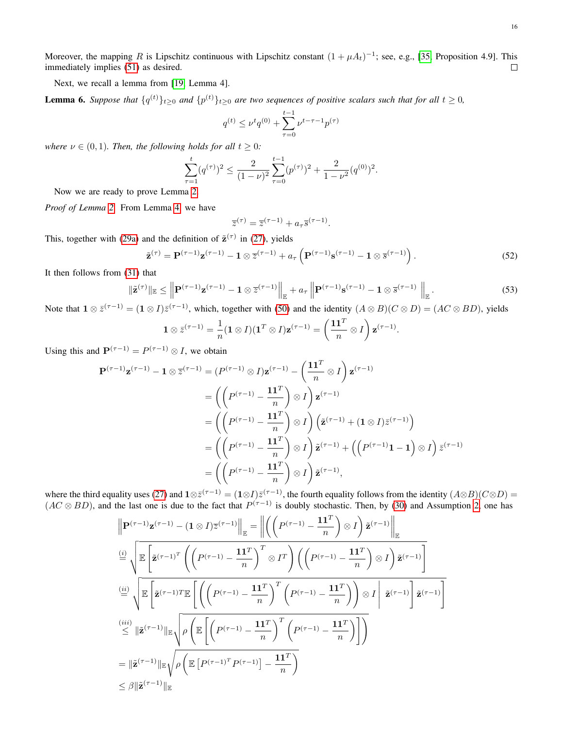Moreover, the mapping R is Lipschitz continuous with Lipschitz constant  $(1 + \mu A_t)^{-1}$ ; see, e.g., [\[35,](#page-21-33) Proposition 4.9]. This immediately implies [\(51\)](#page-14-3) as desired.  $\Box$ 

Next, we recall a lemma from [\[19,](#page-21-17) Lemma 4].

<span id="page-15-1"></span>**Lemma 6.** Suppose that  $\{q^{(t)}\}_{t\geq0}$  and  $\{p^{(t)}\}_{t\geq0}$  are two sequences of positive scalars such that for all  $t\geq0$ ,

$$
q^{(t)} \le \nu^t q^{(0)} + \sum_{\tau=0}^{t-1} \nu^{t-\tau-1} p^{(\tau)}
$$

*where*  $\nu \in (0, 1)$ *. Then, the following holds for all*  $t \geq 0$ *:* 

$$
\sum_{\tau=1}^t (q^{(\tau)})^2 \le \frac{2}{(1-\nu)^2} \sum_{\tau=0}^{t-1} (p^{(\tau)})^2 + \frac{2}{1-\nu^2} (q^{(0)})^2.
$$

Now we are ready to prove Lemma [2.](#page-10-1)

*Proof of Lemma [2.](#page-10-1)* From Lemma [4,](#page-14-4) we have

$$
\overline{z}^{(\tau)} = \overline{z}^{(\tau - 1)} + a_{\tau} \overline{s}^{(\tau - 1)}.
$$

This, together with [\(29a\)](#page-9-4) and the definition of  $\tilde{\mathbf{z}}^{(\tau)}$  in [\(27\)](#page-9-5), yields

$$
\tilde{\mathbf{z}}^{(\tau)} = \mathbf{P}^{(\tau-1)} \mathbf{z}^{(\tau-1)} - \mathbf{1} \otimes \overline{z}^{(\tau-1)} + a_{\tau} \left( \mathbf{P}^{(\tau-1)} \mathbf{s}^{(\tau-1)} - \mathbf{1} \otimes \overline{s}^{(\tau-1)} \right).
$$
(52)

<span id="page-15-0"></span>It then follows from [\(31\)](#page-9-6) that

$$
\|\tilde{\mathbf{z}}^{(\tau)}\|_{\mathbb{E}} \le \left\| \mathbf{P}^{(\tau-1)} \mathbf{z}^{(\tau-1)} - \mathbf{1} \otimes \overline{z}^{(\tau-1)} \right\|_{\mathbb{E}} + a_{\tau} \left\| \mathbf{P}^{(\tau-1)} \mathbf{s}^{(\tau-1)} - \mathbf{1} \otimes \overline{s}^{(\tau-1)} \right\|_{\mathbb{E}}.
$$
\n(53)

Note that  $1 \otimes \overline{z}^{(\tau-1)} = (1 \otimes I)\overline{z}^{(\tau-1)}$ , which, together with [\(50\)](#page-14-2) and the identity  $(A \otimes B)(C \otimes D) = (AC \otimes BD)$ , yields

$$
\mathbf{1} \otimes \bar{z}^{(\tau-1)} = \frac{1}{n} (\mathbf{1} \otimes I)(\mathbf{1}^T \otimes I)\mathbf{z}^{(\tau-1)} = \left(\frac{\mathbf{1} \mathbf{1}^T}{n} \otimes I\right) \mathbf{z}^{(\tau-1)}.
$$

Using this and  $P^{(\tau-1)} = P^{(\tau-1)} \otimes I$ , we obtain

$$
\mathbf{P}^{(\tau-1)}\mathbf{z}^{(\tau-1)} - \mathbf{1} \otimes \overline{z}^{(\tau-1)} = (P^{(\tau-1)} \otimes I)\mathbf{z}^{(\tau-1)} - \left(\frac{\mathbf{1}\mathbf{1}^T}{n} \otimes I\right)\mathbf{z}^{(\tau-1)} \n= \left(\left(P^{(\tau-1)} - \frac{\mathbf{1}\mathbf{1}^T}{n}\right) \otimes I\right)\mathbf{z}^{(\tau-1)} \n= \left(\left(P^{(\tau-1)} - \frac{\mathbf{1}\mathbf{1}^T}{n}\right) \otimes I\right)\left(\tilde{\mathbf{z}}^{(\tau-1)} + (\mathbf{1} \otimes I)\overline{z}^{(\tau-1)}\right) \n= \left(\left(P^{(\tau-1)} - \frac{\mathbf{1}\mathbf{1}^T}{n}\right) \otimes I\right)\tilde{\mathbf{z}}^{(\tau-1)} + \left(\left(P^{(\tau-1)}\mathbf{1} - \mathbf{1}\right) \otimes I\right)\overline{z}^{(\tau-1)} \n= \left(\left(P^{(\tau-1)} - \frac{\mathbf{1}\mathbf{1}^T}{n}\right) \otimes I\right)\tilde{\mathbf{z}}^{(\tau-1)},
$$

where the third equality uses [\(27\)](#page-9-5) and  $1 \otimes \bar{z}^{(\tau-1)} = (1 \otimes I) \bar{z}^{(\tau-1)}$ , the fourth equality follows from the identity  $(A \otimes B)(C \otimes D) =$  $(AC \otimes BD)$ , and the last one is due to the fact that  $P^{(\tau-1)}$  is doubly stochastic. Then, by [\(30\)](#page-9-7) and Assumption [2,](#page-2-1) one has

$$
\begin{aligned}\n\left\|\mathbf{P}^{(\tau-1)}\mathbf{z}^{(\tau-1)} - (\mathbf{1} \otimes I)\overline{z}^{(\tau-1)}\right\|_{\mathbb{E}} &= \left\|\left(\left(P^{(\tau-1)} - \frac{\mathbf{1}\mathbf{1}^T}{n}\right) \otimes I\right)\widetilde{\mathbf{z}}^{(\tau-1)}\right\|_{\mathbb{E}} \\
&\stackrel{(i)}{=} \sqrt{\mathbb{E}\left[\widetilde{\mathbf{z}}^{(\tau-1)^T}\left(\left(P^{(\tau-1)} - \frac{\mathbf{1}\mathbf{1}^T}{n}\right)^T \otimes I^T\right)\left(\left(P^{(\tau-1)} - \frac{\mathbf{1}\mathbf{1}^T}{n}\right) \otimes I\right)\widetilde{\mathbf{z}}^{(\tau-1)}\right]} \\
&\stackrel{(ii)}{=} \sqrt{\mathbb{E}\left[\widetilde{\mathbf{z}}^{(\tau-1)T}\mathbb{E}\left[\left(\left(P^{(\tau-1)} - \frac{\mathbf{1}\mathbf{1}^T}{n}\right)^T\left(P^{(\tau-1)} - \frac{\mathbf{1}\mathbf{1}^T}{n}\right)\right) \otimes I\right|\widetilde{\mathbf{z}}^{(\tau-1)}\right]\widetilde{\mathbf{z}}^{(\tau-1)}\right]} \\
&\stackrel{(iii)}{=} \|\widetilde{\mathbf{z}}^{(\tau-1)}\|_{\mathbb{E}} \sqrt{\rho \left(\mathbb{E}\left[\left(P^{(\tau-1)} - \frac{\mathbf{1}\mathbf{1}^T}{n}\right)^T\left(P^{(\tau-1)} - \frac{\mathbf{1}\mathbf{1}^T}{n}\right)\right]\right)} \\
&= \|\widetilde{\mathbf{z}}^{(\tau-1)}\|_{\mathbb{E}} \sqrt{\rho \left(\mathbb{E}\left[P^{(\tau-1)^T}P^{(\tau-1)}\right] - \frac{\mathbf{1}\mathbf{1}^T}{n}\right)} \\
&\leq \beta \|\widetilde{\mathbf{z}}^{(\tau-1)}\|_{\mathbb{E}}\n\end{aligned}
$$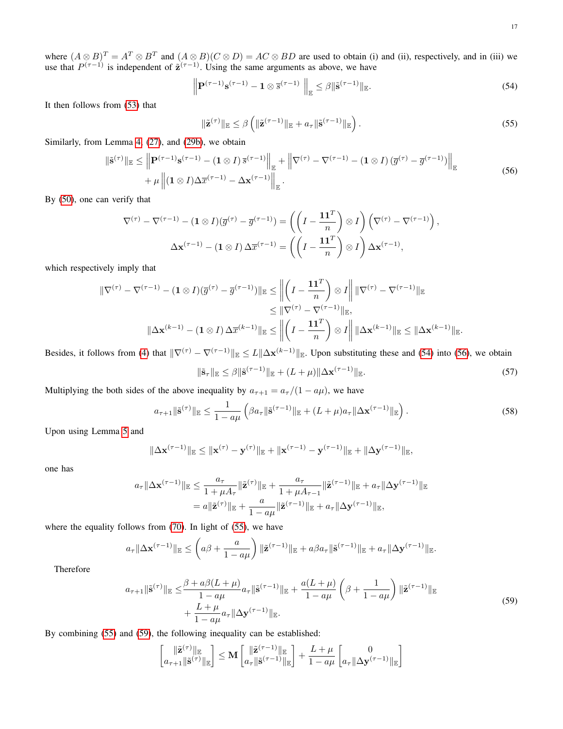where  $(A \otimes B)^T = A^T \otimes B^T$  and  $(A \otimes B)(C \otimes D) = AC \otimes BD$  are used to obtain (i) and (ii), respectively, and in (iii) we use that  $P^{(\tau-1)}$  is independent of  $\tilde{\mathbf{z}}^{(\tau-1)}$ . Using the same arguments as above, we have

<span id="page-16-0"></span>
$$
\left\| \mathbf{P}^{(\tau-1)} \mathbf{s}^{(\tau-1)} - \mathbf{1} \otimes \overline{\mathbf{s}}^{(\tau-1)} \right\|_{\mathbb{E}} \leq \beta \| \tilde{\mathbf{s}}^{(\tau-1)} \|_{\mathbb{E}}.
$$
\n(54)

<span id="page-16-2"></span>It then follows from [\(53\)](#page-15-0) that

$$
\|\tilde{\mathbf{z}}^{(\tau)}\|_{\mathbb{E}} \leq \beta \left( \|\tilde{\mathbf{z}}^{(\tau-1)}\|_{\mathbb{E}} + a_{\tau} \|\tilde{\mathbf{s}}^{(\tau-1)}\|_{\mathbb{E}} \right). \tag{55}
$$

<span id="page-16-1"></span>Similarly, from Lemma [4,](#page-14-4) [\(27\)](#page-9-5), and [\(29b\)](#page-9-3), we obtain

$$
\|\tilde{\mathbf{s}}^{(\tau)}\|_{\mathbb{E}} \le \left\| \mathbf{P}^{(\tau-1)} \mathbf{s}^{(\tau-1)} - (\mathbf{1} \otimes I) \, \overline{s}^{(\tau-1)} \right\|_{\mathbb{E}} + \left\| \nabla^{(\tau)} - \nabla^{(\tau-1)} - (\mathbf{1} \otimes I) \, (\overline{g}^{(\tau)} - \overline{g}^{(\tau-1)}) \right\|_{\mathbb{E}} + \mu \left\| (\mathbf{1} \otimes I) \Delta \overline{x}^{(\tau-1)} - \Delta \mathbf{x}^{(\tau-1)} \right\|_{\mathbb{E}}.
$$
\n(56)

By [\(50\)](#page-14-2), one can verify that

$$
\nabla^{(\tau)} - \nabla^{(\tau-1)} - (1 \otimes I)(\overline{g}^{(\tau)} - \overline{g}^{(\tau-1)}) = \left( \left( I - \frac{\mathbf{1} \mathbf{1}^T}{n} \right) \otimes I \right) \left( \nabla^{(\tau)} - \nabla^{(\tau-1)} \right),
$$

$$
\Delta \mathbf{x}^{(\tau-1)} - (1 \otimes I) \Delta \overline{x}^{(\tau-1)} = \left( \left( I - \frac{\mathbf{1} \mathbf{1}^T}{n} \right) \otimes I \right) \Delta \mathbf{x}^{(\tau-1)},
$$

which respectively imply that

$$
\begin{aligned} \|\nabla^{(\tau)} - \nabla^{(\tau-1)} - (\mathbf{1} \otimes I)(\overline{g}^{(\tau)} - \overline{g}^{(\tau-1)})\|_{\mathbb{E}} &\leq \left\| \left(I - \frac{\mathbf{1} \mathbf{1}^T}{n} \right) \otimes I \right\| \|\nabla^{(\tau)} - \nabla^{(\tau-1)}\|_{\mathbb{E}} \\ &\leq \|\nabla^{(\tau)} - \nabla^{(\tau-1)}\|_{\mathbb{E}}, \\ \|\Delta \mathbf{x}^{(k-1)} - (\mathbf{1} \otimes I) \Delta \overline{x}^{(k-1)}\|_{\mathbb{E}} &\leq \left\| \left(I - \frac{\mathbf{1} \mathbf{1}^T}{n} \right) \otimes I \right\| \|\Delta \mathbf{x}^{(k-1)}\|_{\mathbb{E}} &\leq \|\Delta \mathbf{x}^{(k-1)}\|_{\mathbb{E}}. \end{aligned}
$$

Besides, it follows from [\(4\)](#page-2-7) that  $\|\nabla^{(\tau)} - \nabla^{(\tau-1)}\|_{\mathbb{E}} \le L\|\Delta \mathbf{x}^{(k-1)}\|_{\mathbb{E}}$ . Upon substituting these and [\(54\)](#page-16-0) into [\(56\)](#page-16-1), we obtain

$$
\|\tilde{\mathbf{s}}_{\tau}\|_{\mathbb{E}} \leq \beta \|\tilde{\mathbf{s}}^{(\tau-1)}\|_{\mathbb{E}} + (L+\mu)\|\Delta \mathbf{x}^{(\tau-1)}\|_{\mathbb{E}}.
$$
\n(57)

Multiplying the both sides of the above inequality by  $a_{\tau+1} = a_{\tau}/(1 - a\mu)$ , we have

$$
a_{\tau+1} \|\tilde{\mathbf{s}}^{(\tau)}\|_{\mathbb{E}} \le \frac{1}{1-a\mu} \left( \beta a_{\tau} \|\tilde{\mathbf{s}}^{(\tau-1)}\|_{\mathbb{E}} + (L+\mu)a_{\tau} \|\Delta \mathbf{x}^{(\tau-1)}\|_{\mathbb{E}} \right).
$$
 (58)

Upon using Lemma [5](#page-14-5) and

$$
\|\Delta \mathbf{x}^{(\tau-1)}\|_{\mathbb{E}} \leq \|\mathbf{x}^{(\tau)} - \mathbf{y}^{(\tau)}\|_{\mathbb{E}} + \|\mathbf{x}^{(\tau-1)} - \mathbf{y}^{(\tau-1)}\|_{\mathbb{E}} + \|\Delta \mathbf{y}^{(\tau-1)}\|_{\mathbb{E}},
$$

one has

$$
a_{\tau} \|\Delta \mathbf{x}^{(\tau-1)}\|_{\mathbb{E}} \leq \frac{a_{\tau}}{1 + \mu A_{\tau}} \|\tilde{\mathbf{z}}^{(\tau)}\|_{\mathbb{E}} + \frac{a_{\tau}}{1 + \mu A_{\tau-1}} \|\tilde{\mathbf{z}}^{(\tau-1)}\|_{\mathbb{E}} + a_{\tau} \|\Delta \mathbf{y}^{(\tau-1)}\|_{\mathbb{E}}
$$
  
=  $a \|\tilde{\mathbf{z}}^{(\tau)}\|_{\mathbb{E}} + \frac{a}{1 - a\mu} \|\tilde{\mathbf{z}}^{(\tau-1)}\|_{\mathbb{E}} + a_{\tau} \|\Delta \mathbf{y}^{(\tau-1)}\|_{\mathbb{E}},$ 

where the equality follows from [\(70\)](#page-20-0). In light of [\(55\)](#page-16-2), we have

$$
a_{\tau}\|\Delta\mathbf{x}^{(\tau-1)}\|_{\mathbb{E}} \leq \left(a\beta + \frac{a}{1-a\mu}\right)\|\tilde{\mathbf{z}}^{(\tau-1)}\|_{\mathbb{E}} + a\beta a_{\tau}\|\tilde{\mathbf{s}}^{(\tau-1)}\|_{\mathbb{E}} + a_{\tau}\|\Delta\mathbf{y}^{(\tau-1)}\|_{\mathbb{E}}.
$$

<span id="page-16-3"></span>Therefore

$$
a_{\tau+1} \|\tilde{\mathbf{s}}^{(\tau)}\|_{\mathbb{E}} \leq \frac{\beta + a\beta (L+\mu)}{1 - a\mu} a_{\tau} \|\tilde{\mathbf{s}}^{(\tau-1)}\|_{\mathbb{E}} + \frac{a(L+\mu)}{1 - a\mu} \left(\beta + \frac{1}{1 - a\mu}\right) \|\tilde{\mathbf{z}}^{(\tau-1)}\|_{\mathbb{E}} + \frac{L+\mu}{1 - a\mu} a_{\tau} \|\Delta \mathbf{y}^{(\tau-1)}\|_{\mathbb{E}}.
$$
\n
$$
(59)
$$

By combining [\(55\)](#page-16-2) and [\(59\)](#page-16-3), the following inequality can be established:

$$
\begin{bmatrix} \|\tilde{\mathbf{z}}^{(\tau)}\|_{\mathbb{E}} \\ a_{\tau+1} \|\tilde{\mathbf{s}}^{(\tau)}\|_{\mathbb{E}} \end{bmatrix} \leq \mathbf{M} \begin{bmatrix} \|\tilde{\mathbf{z}}^{(\tau-1)}\|_{\mathbb{E}} \\ a_{\tau} \|\tilde{\mathbf{s}}^{(\tau-1)}\|_{\mathbb{E}} \end{bmatrix} + \frac{L+\mu}{1-a\mu} \begin{bmatrix} 0 \\ a_{\tau} \|\Delta \mathbf{y}^{(\tau-1)}\|_{\mathbb{E}} \end{bmatrix}
$$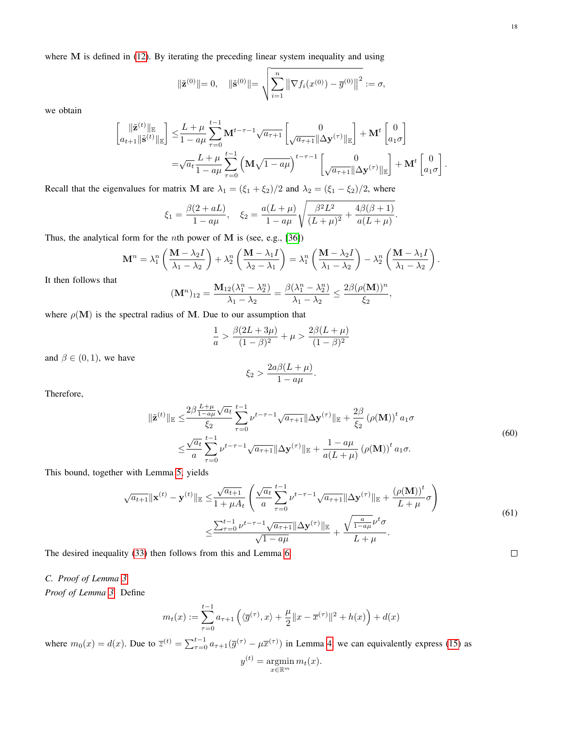where M is defined in [\(12\)](#page-4-8). By iterating the preceding linear system inequality and using

$$
\|\tilde{\mathbf{z}}^{(0)}\| = 0, \quad \|\tilde{\mathbf{s}}^{(0)}\| = \sqrt{\sum_{i=1}^{n} \left\| \nabla f_i(x^{(0)}) - \overline{g}^{(0)} \right\|^2} := \sigma,
$$

we obtain

$$
\begin{split} \begin{bmatrix} \|\tilde{\mathbf{z}}^{(t)}\|_{\mathbb{E}} \\ a_{t+1} \|\tilde{\mathbf{s}}^{(t)}\|_{\mathbb{E}} \end{bmatrix} &\leq & \frac{L+\mu}{1-a\mu} \sum_{\tau=0}^{t-1} \mathbf{M}^{t-\tau-1} \sqrt{a_{\tau+1}} \begin{bmatrix} 0 \\ \sqrt{a_{\tau+1}} \|\Delta \mathbf{y}^{(\tau)}\|_{\mathbb{E}} \end{bmatrix} + \mathbf{M}^{t} \begin{bmatrix} 0 \\ a_{1} \sigma \end{bmatrix} \\ &= & \sqrt{a_{t}} \frac{L+\mu}{1-a\mu} \sum_{\tau=0}^{t-1} \left( \mathbf{M} \sqrt{1-a\mu} \right)^{t-\tau-1} \begin{bmatrix} 0 \\ \sqrt{a_{\tau+1}} \|\Delta \mathbf{y}^{(\tau)}\|_{\mathbb{E}} \end{bmatrix} + \mathbf{M}^{t} \begin{bmatrix} 0 \\ a_{1} \sigma \end{bmatrix} . \end{split}
$$

Recall that the eigenvalues for matrix M are  $\lambda_1 = (\xi_1 + \xi_2)/2$  and  $\lambda_2 = (\xi_1 - \xi_2)/2$ , where

$$
\xi_1 = \frac{\beta(2 + aL)}{1 - a\mu}, \quad \xi_2 = \frac{a(L + \mu)}{1 - a\mu} \sqrt{\frac{\beta^2 L^2}{(L + \mu)^2} + \frac{4\beta(\beta + 1)}{a(L + \mu)}}
$$

Thus, the analytical form for the *n*th power of  $M$  is (see, e.g., [\[36\]](#page-21-34))

$$
\mathbf{M}^{n} = \lambda_{1}^{n} \left( \frac{\mathbf{M} - \lambda_{2} I}{\lambda_{1} - \lambda_{2}} \right) + \lambda_{2}^{n} \left( \frac{\mathbf{M} - \lambda_{1} I}{\lambda_{2} - \lambda_{1}} \right) = \lambda_{1}^{n} \left( \frac{\mathbf{M} - \lambda_{2} I}{\lambda_{1} - \lambda_{2}} \right) - \lambda_{2}^{n} \left( \frac{\mathbf{M} - \lambda_{1} I}{\lambda_{1} - \lambda_{2}} \right).
$$

It then follows that

$$
(\mathbf{M}^n)_{12} = \frac{\mathbf{M}_{12}(\lambda_1^n - \lambda_2^n)}{\lambda_1 - \lambda_2} = \frac{\beta(\lambda_1^n - \lambda_2^n)}{\lambda_1 - \lambda_2} \le \frac{2\beta(\rho(\mathbf{M}))^n}{\xi_2},
$$

where  $\rho(\mathbf{M})$  is the spectral radius of M. Due to our assumption that

$$
\frac{1}{a} > \frac{\beta(2L + 3\mu)}{(1 - \beta)^2} + \mu > \frac{2\beta(L + \mu)}{(1 - \beta)^2}
$$

and  $\beta \in (0,1)$ , we have

$$
\xi_2 > \frac{2a\beta(L+\mu)}{1-a\mu}
$$

Therefore,

$$
\|\tilde{\mathbf{z}}^{(t)}\|_{\mathbb{E}} \leq \frac{2\beta \frac{L+\mu}{1-a\mu} \sqrt{a_t}}{\xi_2} \sum_{\tau=0}^{t-1} \nu^{t-\tau-1} \sqrt{a_{\tau+1}} \|\Delta \mathbf{y}^{(\tau)}\|_{\mathbb{E}} + \frac{2\beta}{\xi_2} \left(\rho(\mathbf{M})\right)^t a_1 \sigma
$$
  

$$
\leq \frac{\sqrt{a_t}}{a} \sum_{\tau=0}^{t-1} \nu^{t-\tau-1} \sqrt{a_{\tau+1}} \|\Delta \mathbf{y}^{(\tau)}\|_{\mathbb{E}} + \frac{1-a\mu}{a(L+\mu)} \left(\rho(\mathbf{M})\right)^t a_1 \sigma.
$$
 (60)

.

.

This bound, together with Lemma [5,](#page-14-5) yields

$$
\sqrt{a_{t+1}} \|\mathbf{x}^{(t)} - \mathbf{y}^{(t)}\|_{\mathbb{E}} \leq \frac{\sqrt{a_{t+1}}}{1 + \mu A_t} \left( \frac{\sqrt{a_t}}{a} \sum_{\tau=0}^{t-1} \nu^{t-\tau-1} \sqrt{a_{\tau+1}} \|\Delta \mathbf{y}^{(\tau)}\|_{\mathbb{E}} + \frac{(\rho(\mathbf{M}))^t}{L + \mu} \sigma \right)
$$
  

$$
\leq \frac{\sum_{\tau=0}^{t-1} \nu^{t-\tau-1} \sqrt{a_{\tau+1}} \|\Delta \mathbf{y}^{(\tau)}\|_{\mathbb{E}}}{\sqrt{1 - a\mu}} + \frac{\sqrt{\frac{a}{1 - a\mu}} \nu^t \sigma}{L + \mu}.
$$
 (61)

The desired inequality [\(33\)](#page-10-4) then follows from this and Lemma [6.](#page-15-1)

<span id="page-17-0"></span>*C. Proof of Lemma [3](#page-10-2)*

*Proof of Lemma [3.](#page-10-2)* Define

$$
m_t(x) := \sum_{\tau=0}^{t-1} a_{\tau+1} \left( \langle \overline{g}^{(\tau)}, x \rangle + \frac{\mu}{2} || x - \overline{x}^{(\tau)} ||^2 + h(x) \right) + d(x)
$$

where  $m_0(x) = d(x)$ . Due to  $\overline{z}^{(t)} = \sum_{\tau=0}^{t-1} a_{\tau+1}(\overline{g}^{(\tau)} - \mu \overline{x}^{(\tau)})$  in Lemma [4,](#page-14-4) we can equivalently express [\(15\)](#page-4-4) as

$$
y^{(t)} = \operatorname*{argmin}_{x \in \mathbb{R}^m} m_t(x).
$$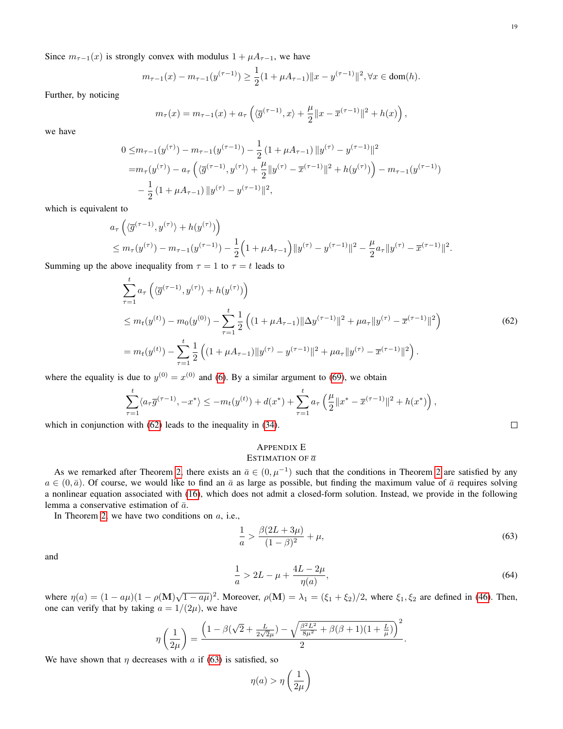Since  $m_{\tau-1}(x)$  is strongly convex with modulus  $1 + \mu A_{\tau-1}$ , we have

$$
m_{\tau-1}(x) - m_{\tau-1}(y^{(\tau-1)}) \ge \frac{1}{2}(1 + \mu A_{\tau-1}) \|x - y^{(\tau-1)}\|^2, \forall x \in \text{dom}(h).
$$

Further, by noticing

$$
m_{\tau}(x) = m_{\tau-1}(x) + a_{\tau} \left( \langle \overline{g}^{(\tau-1)}, x \rangle + \frac{\mu}{2} || x - \overline{x}^{(\tau-1)} ||^2 + h(x) \right),
$$

we have

$$
0 \leq m_{\tau-1}(y^{(\tau)}) - m_{\tau-1}(y^{(\tau-1)}) - \frac{1}{2} (1 + \mu A_{\tau-1}) \|y^{(\tau)} - y^{(\tau-1)}\|^2
$$
  
=  $m_{\tau}(y^{(\tau)}) - a_{\tau} \left( \langle \overline{g}^{(\tau-1)}, y^{(\tau)} \rangle + \frac{\mu}{2} \|y^{(\tau)} - \overline{x}^{(\tau-1)}\|^2 + h(y^{(\tau)}) \right) - m_{\tau-1}(y^{(\tau-1)})$   
-  $\frac{1}{2} (1 + \mu A_{\tau-1}) \|y^{(\tau)} - y^{(\tau-1)}\|^2$ ,

which is equivalent to

$$
a_{\tau}\left(\langle \overline{g}^{(\tau-1)}, y^{(\tau)} \rangle + h(y^{(\tau)})\right) \leq m_{\tau}(y^{(\tau)}) - m_{\tau-1}(y^{(\tau-1)}) - \frac{1}{2}\left(1 + \mu A_{\tau-1}\right) ||y^{(\tau)} - y^{(\tau-1)}||^2 - \frac{\mu}{2} a_{\tau} ||y^{(\tau)} - \overline{x}^{(\tau-1)}||^2.
$$

<span id="page-18-1"></span>Summing up the above inequality from  $\tau = 1$  to  $\tau = t$  leads to

$$
\sum_{\tau=1}^{t} a_{\tau} \left( \langle \overline{g}^{(\tau-1)}, y^{(\tau)} \rangle + h(y^{(\tau)}) \right)
$$
\n
$$
\leq m_t(y^{(t)}) - m_0(y^{(0)}) - \sum_{\tau=1}^{t} \frac{1}{2} \left( (1 + \mu A_{\tau-1}) \|\Delta y^{(\tau-1)}\|^2 + \mu a_{\tau} \|y^{(\tau)} - \overline{x}^{(\tau-1)}\|^2 \right)
$$
\n
$$
= m_t(y^{(t)}) - \sum_{\tau=1}^{t} \frac{1}{2} \left( (1 + \mu A_{\tau-1}) \|y^{(\tau)} - y^{(\tau-1)}\|^2 + \mu a_{\tau} \|y^{(\tau)} - \overline{x}^{(\tau-1)}\|^2 \right).
$$
\n(62)

where the equality is due to  $y^{(0)} = x^{(0)}$  and [\(6\)](#page-2-4). By a similar argument to [\(69\)](#page-20-1), we obtain

$$
\sum_{\tau=1}^{t} \langle a_{\tau} \overline{g}^{(\tau-1)}, -x^{*} \rangle \leq -m_{t}(y^{(t)}) + d(x^{*}) + \sum_{\tau=1}^{t} a_{\tau} \left( \frac{\mu}{2} \| x^{*} - \overline{x}^{(\tau-1)} \|^{2} + h(x^{*}) \right),
$$
  
with (62) leads to the inequality in (34).

which in conjunction with  $(62)$  leads to the inequality in  $(34)$ .

# <span id="page-18-0"></span>APPENDIX E

# ESTIMATION OF  $\overline{a}$

As we remarked after Theorem [2,](#page-4-5) there exists an  $\bar{a} \in (0, \mu^{-1})$  such that the conditions in Theorem [2](#page-4-5) are satisfied by any  $a \in (0, \bar{a})$ . Of course, we would like to find an  $\bar{a}$  as large as possible, but finding the maximum value of  $\bar{a}$  requires solving a nonlinear equation associated with [\(16\)](#page-4-6), which does not admit a closed-form solution. Instead, we provide in the following lemma a conservative estimation of  $\bar{a}$ .

In Theorem [2,](#page-4-5) we have two conditions on  $a$ , i.e.,

<span id="page-18-3"></span><span id="page-18-2"></span>
$$
\frac{1}{a} > \frac{\beta(2L + 3\mu)}{(1 - \beta)^2} + \mu,\tag{63}
$$

and

$$
\frac{1}{a} > 2L - \mu + \frac{4L - 2\mu}{\eta(a)},
$$
\n(64)

where  $\eta(a) = (1 - a\mu)(1 - \rho(M)\sqrt{1 - a\mu})^2$ . Moreover,  $\rho(M) = \lambda_1 = (\xi_1 + \xi_2)/2$ , where  $\xi_1, \xi_2$  are defined in [\(46\)](#page-13-4). Then, one can verify that by taking  $a = 1/(2\mu)$ , we have

$$
\eta\left(\frac{1}{2\mu}\right) = \frac{\left(1 - \beta(\sqrt{2} + \frac{L}{2\sqrt{2}\mu}) - \sqrt{\frac{\beta^2 L^2}{8\mu^2} + \beta(\beta + 1)(1 + \frac{L}{\mu})}\right)^2}{2}.
$$

We have shown that  $\eta$  decreases with a if [\(63\)](#page-18-2) is satisfied, so

$$
\eta(a) > \eta\left(\frac{1}{2\mu}\right)
$$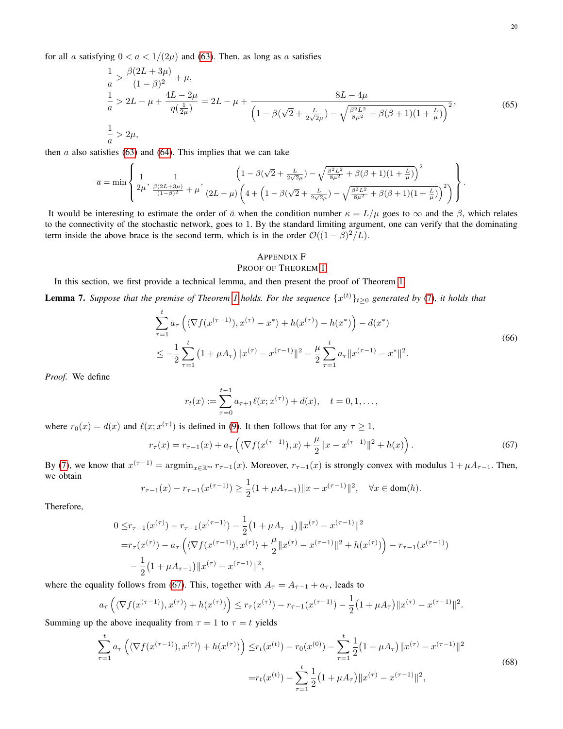for all a satisfying  $0 < a < 1/(2\mu)$  and [\(63\)](#page-18-2). Then, as long as a satisfies

$$
\frac{1}{a} > \frac{\beta(2L+3\mu)}{(1-\beta)^2} + \mu,
$$
\n
$$
\frac{1}{a} > 2L - \mu + \frac{4L - 2\mu}{\eta(\frac{1}{2\mu})} = 2L - \mu + \frac{8L - 4\mu}{\left(1 - \beta(\sqrt{2} + \frac{L}{2\sqrt{2}\mu}) - \sqrt{\frac{\beta^2 L^2}{8\mu^2} + \beta(\beta + 1)(1 + \frac{L}{\mu})}\right)^2},
$$
\n(65)\n
$$
\frac{1}{a} > 2\mu,
$$

then  $a$  also satisfies [\(63\)](#page-18-2) and [\(64\)](#page-18-3). This implies that we can take

$$
\overline{a} = \min \left\{ \frac{1}{2\mu}, \frac{1}{\frac{\beta(2L+3\mu)}{(1-\beta)^2} + \mu}, \frac{\left(1 - \beta(\sqrt{2} + \frac{L}{2\sqrt{2}\mu}) - \sqrt{\frac{\beta^2 L^2}{8\mu^2} + \beta(\beta+1)(1+\frac{L}{\mu})}\right)^2}{(2L-\mu)\left(4 + \left(1 - \beta(\sqrt{2} + \frac{L}{2\sqrt{2}\mu}) - \sqrt{\frac{\beta^2 L^2}{8\mu^2} + \beta(\beta+1)(1+\frac{L}{\mu})}\right)^2}\right) \right\}
$$

It would be interesting to estimate the order of  $\bar{a}$  when the condition number  $\kappa = L/\mu$  goes to  $\infty$  and the  $\beta$ , which relates to the connectivity of the stochastic network, goes to 1. By the standard limiting argument, one can verify that the dominating term inside the above brace is the second term, which is in the order  $\mathcal{O}((1 - \beta)^2/L)$ .

# <span id="page-19-0"></span>APPENDIX F

### PROOF OF THEOREM [1](#page-3-0)

In this section, we first provide a technical lemma, and then present the proof of Theorem [1.](#page-3-0)

<span id="page-19-4"></span><span id="page-19-3"></span>**Lemma 7.** Suppose that the premise of Theorem [1](#page-3-0) holds. For the sequence  $\{x^{(t)}\}_{t\geq0}$  generated by [\(7\)](#page-2-2), it holds that

$$
\sum_{\tau=1}^{t} a_{\tau} \left( \langle \nabla f(x^{(\tau-1)}), x^{(\tau)} - x^* \rangle + h(x^{(\tau)}) - h(x^*) \right) - d(x^*)
$$
\n
$$
\leq -\frac{1}{2} \sum_{\tau=1}^{t} \left( 1 + \mu A_{\tau} \right) \|x^{(\tau)} - x^{(\tau-1)}\|^2 - \frac{\mu}{2} \sum_{\tau=1}^{t} a_{\tau} \|x^{(\tau-1)} - x^*\|^2.
$$
\n(66)

*Proof.* We define

$$
r_t(x) := \sum_{\tau=0}^{t-1} a_{\tau+1} \ell(x; x^{(\tau)}) + d(x), \quad t = 0, 1, \dots,
$$

where  $r_0(x) = d(x)$  and  $\ell(x; x^{(\tau)})$  is defined in [\(9\)](#page-2-8). It then follows that for any  $\tau \ge 1$ ,

<span id="page-19-1"></span>
$$
r_{\tau}(x) = r_{\tau-1}(x) + a_{\tau} \left( \langle \nabla f(x^{(\tau-1)}), x \rangle + \frac{\mu}{2} ||x - x^{(\tau-1)}||^2 + h(x) \right). \tag{67}
$$

By [\(7\)](#page-2-2), we know that  $x^{(\tau-1)} = \operatorname{argmin}_{x \in \mathbb{R}^m} r_{\tau-1}(x)$ . Moreover,  $r_{\tau-1}(x)$  is strongly convex with modulus  $1 + \mu A_{\tau-1}$ . Then, we obtain

$$
r_{\tau-1}(x) - r_{\tau-1}(x^{(\tau-1)}) \ge \frac{1}{2} (1 + \mu A_{\tau-1}) \|x - x^{(\tau-1)}\|^2, \quad \forall x \in \text{dom}(h).
$$

Therefore,

$$
0 \leq r_{\tau-1}(x^{(\tau)}) - r_{\tau-1}(x^{(\tau-1)}) - \frac{1}{2} \left( 1 + \mu A_{\tau-1} \right) ||x^{(\tau)} - x^{(\tau-1)}||^2
$$
  
=  $r_{\tau}(x^{(\tau)}) - a_{\tau} \left( \langle \nabla f(x^{(\tau-1)}), x^{(\tau)} \rangle + \frac{\mu}{2} ||x^{(\tau)} - x^{(\tau-1)}||^2 + h(x^{(\tau)}) \right) - r_{\tau-1}(x^{(\tau-1)})$   
-  $\frac{1}{2} \left( 1 + \mu A_{\tau-1} \right) ||x^{(\tau)} - x^{(\tau-1)}||^2,$ 

where the equality follows from [\(67\)](#page-19-1). This, together with  $A_\tau = A_{\tau-1} + a_\tau$ , leads to

$$
a_{\tau}\left(\langle \nabla f(x^{(\tau-1)}), x^{(\tau)} \rangle + h(x^{(\tau)})\right) \leq r_{\tau}(x^{(\tau)}) - r_{\tau-1}(x^{(\tau-1)}) - \frac{1}{2}\left(1 + \mu A_{\tau}\right) \|x^{(\tau)} - x^{(\tau-1)}\|^2.
$$

<span id="page-19-2"></span>Summing up the above inequality from  $\tau = 1$  to  $\tau = t$  yields

$$
\sum_{\tau=1}^{t} a_{\tau} \left( \langle \nabla f(x^{(\tau-1)}), x^{(\tau)} \rangle + h(x^{(\tau)}) \right) \leq r_t(x^{(t)}) - r_0(x^{(0)}) - \sum_{\tau=1}^{t} \frac{1}{2} \left( 1 + \mu A_{\tau} \right) ||x^{(\tau)} - x^{(\tau-1)}||^2
$$
\n
$$
= r_t(x^{(t)}) - \sum_{\tau=1}^{t} \frac{1}{2} \left( 1 + \mu A_{\tau} \right) ||x^{(\tau)} - x^{(\tau-1)}||^2,
$$
\n(68)

.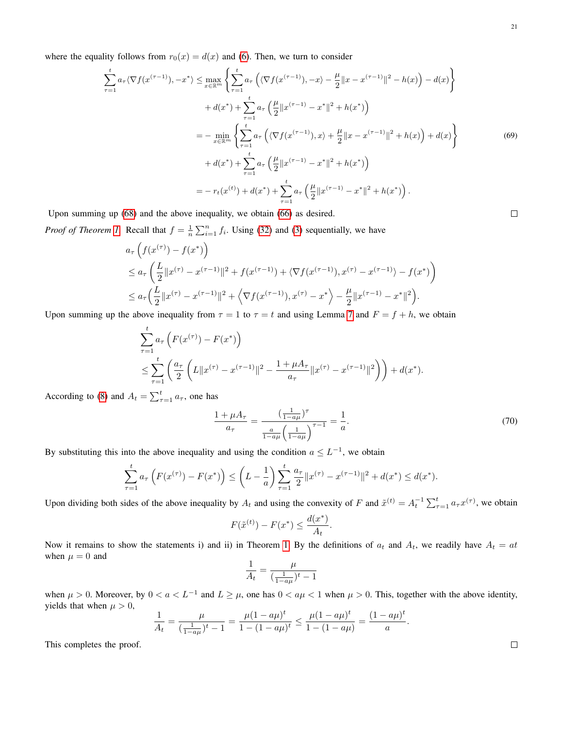<span id="page-20-1"></span>where the equality follows from  $r_0(x) = d(x)$  and [\(6\)](#page-2-4). Then, we turn to consider

$$
\sum_{\tau=1}^{t} a_{\tau} \langle \nabla f(x^{(\tau-1)}), -x^* \rangle \le \max_{x \in \mathbb{R}^m} \left\{ \sum_{\tau=1}^{t} a_{\tau} \left( \langle \nabla f(x^{(\tau-1)}), -x \rangle - \frac{\mu}{2} || x - x^{(\tau-1)} ||^2 - h(x) \right) - d(x) \right\} \n+ d(x^*) + \sum_{\tau=1}^{t} a_{\tau} \left( \frac{\mu}{2} || x^{(\tau-1)} - x^* ||^2 + h(x^*) \right) \n= - \min_{x \in \mathbb{R}^m} \left\{ \sum_{\tau=1}^{t} a_{\tau} \left( \langle \nabla f(x^{(\tau-1)}), x \rangle + \frac{\mu}{2} || x - x^{(\tau-1)} ||^2 + h(x) \right) + d(x) \right\} \n+ d(x^*) + \sum_{\tau=1}^{t} a_{\tau} \left( \frac{\mu}{2} || x^{(\tau-1)} - x^* ||^2 + h(x^*) \right) \n= - r_t(x^{(t)}) + d(x^*) + \sum_{\tau=1}^{t} a_{\tau} \left( \frac{\mu}{2} || x^{(\tau-1)} - x^* ||^2 + h(x^*) \right).
$$
\n(A)

Upon summing up [\(68\)](#page-19-2) and the above inequality, we obtain [\(66\)](#page-19-3) as desired.

*Proof of Theorem [1.](#page-3-0)* Recall that  $f = \frac{1}{n} \sum_{i=1}^{n} f_i$ . Using [\(32\)](#page-9-0) and [\(3\)](#page-2-6) sequentially, we have

$$
a_{\tau} \left( f(x^{(\tau)}) - f(x^*) \right)
$$
  
\n
$$
\le a_{\tau} \left( \frac{L}{2} \| x^{(\tau)} - x^{(\tau - 1)} \|^2 + f(x^{(\tau - 1)}) + \langle \nabla f(x^{(\tau - 1)}), x^{(\tau)} - x^{(\tau - 1)} \rangle - f(x^*) \right)
$$
  
\n
$$
\le a_{\tau} \left( \frac{L}{2} \| x^{(\tau)} - x^{(\tau - 1)} \|^2 + \langle \nabla f(x^{(\tau - 1)}), x^{(\tau)} - x^* \rangle - \frac{\mu}{2} \| x^{(\tau - 1)} - x^* \|^2 \right).
$$

Upon summing up the above inequality from  $\tau = 1$  to  $\tau = t$  and using Lemma [7](#page-19-4) and  $F = f + h$ , we obtain

$$
\sum_{\tau=1}^{t} a_{\tau} \left( F(x^{(\tau)}) - F(x^{*}) \right)
$$
\n
$$
\leq \sum_{\tau=1}^{t} \left( \frac{a_{\tau}}{2} \left( L \| x^{(\tau)} - x^{(\tau-1)} \|^{2} - \frac{1 + \mu A_{\tau}}{a_{\tau}} \| x^{(\tau)} - x^{(\tau-1)} \|^{2} \right) \right) + d(x^{*}).
$$

According to [\(8\)](#page-2-3) and  $A_t = \sum_{\tau=1}^t a_\tau$ , one has

<span id="page-20-0"></span>
$$
\frac{1 + \mu A_{\tau}}{a_{\tau}} = \frac{\left(\frac{1}{1 - a\mu}\right)^{\tau}}{\frac{a}{1 - a\mu} \left(\frac{1}{1 - a\mu}\right)^{\tau - 1}} = \frac{1}{a}.
$$
\n(70)

.

By substituting this into the above inequality and using the condition  $a \leq L^{-1}$ , we obtain

$$
\sum_{\tau=1}^t a_\tau \left( F(x^{(\tau)}) - F(x^*) \right) \le \left( L - \frac{1}{a} \right) \sum_{\tau=1}^t \frac{a_\tau}{2} \| x^{(\tau)} - x^{(\tau-1)} \|^2 + d(x^*) \le d(x^*).
$$

Upon dividing both sides of the above inequality by  $A_t$  and using the convexity of F and  $\tilde{x}^{(t)} = A_t^{-1} \sum_{\tau=1}^t a_\tau x^{(\tau)}$ , we obtain

$$
F(\tilde{x}^{(t)}) - F(x^*) \le \frac{d(x^*)}{A_t}.
$$

Now it remains to show the statements i) and ii) in Theorem [1.](#page-3-0) By the definitions of  $a_t$  and  $A_t$ , we readily have  $A_t = at$ when  $\mu = 0$  and

$$
\frac{1}{A_t} = \frac{\mu}{\left(\frac{1}{1 - a\mu}\right)^t - 1}
$$

when  $\mu > 0$ . Moreover, by  $0 < a < L^{-1}$  and  $L \ge \mu$ , one has  $0 < a\mu < 1$  when  $\mu > 0$ . This, together with the above identity, yields that when  $\mu > 0$ ,

$$
\frac{1}{A_t} = \frac{\mu}{(\frac{1}{1-a\mu})^t - 1} = \frac{\mu(1-a\mu)^t}{1 - (1-a\mu)^t} \le \frac{\mu(1-a\mu)^t}{1 - (1-a\mu)} = \frac{(1-a\mu)^t}{a}
$$

This completes the proof.